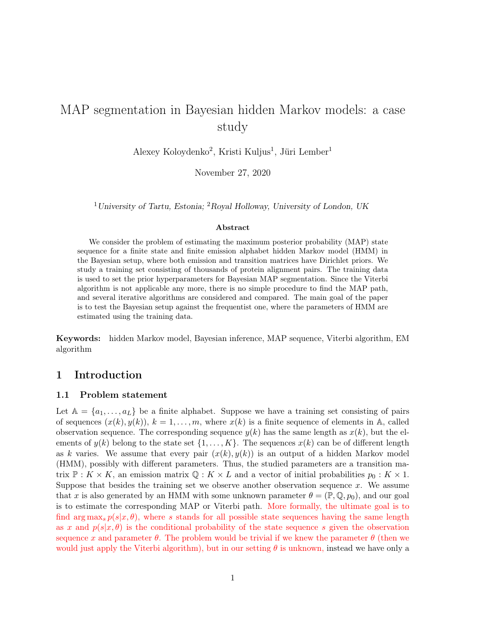# MAP segmentation in Bayesian hidden Markov models: a case study

Alexey Koloydenko<sup>2</sup>, Kristi Kuljus<sup>1</sup>, Jüri Lember<sup>1</sup>

November 27, 2020

<sup>1</sup>University of Tartu, Estonia; <sup>2</sup>Royal Holloway, University of London, UK

#### Abstract

We consider the problem of estimating the maximum posterior probability (MAP) state sequence for a finite state and finite emission alphabet hidden Markov model (HMM) in the Bayesian setup, where both emission and transition matrices have Dirichlet priors. We study a training set consisting of thousands of protein alignment pairs. The training data is used to set the prior hyperparameters for Bayesian MAP segmentation. Since the Viterbi algorithm is not applicable any more, there is no simple procedure to find the MAP path, and several iterative algorithms are considered and compared. The main goal of the paper is to test the Bayesian setup against the frequentist one, where the parameters of HMM are estimated using the training data.

Keywords: hidden Markov model, Bayesian inference, MAP sequence, Viterbi algorithm, EM algorithm

### 1 Introduction

#### 1.1 Problem statement

Let  $A = \{a_1, \ldots, a_L\}$  be a finite alphabet. Suppose we have a training set consisting of pairs of sequences  $(x(k), y(k))$ ,  $k = 1, \ldots, m$ , where  $x(k)$  is a finite sequence of elements in A, called observation sequence. The corresponding sequence  $y(k)$  has the same length as  $x(k)$ , but the elements of  $y(k)$  belong to the state set  $\{1, \ldots, K\}$ . The sequences  $x(k)$  can be of different length as k varies. We assume that every pair  $(x(k), y(k))$  is an output of a hidden Markov model (HMM), possibly with different parameters. Thus, the studied parameters are a transition matrix  $\mathbb{P}: K \times K$ , an emission matrix  $\mathbb{Q}: K \times L$  and a vector of initial probabilities  $p_0: K \times 1$ . Suppose that besides the training set we observe another observation sequence  $x$ . We assume that x is also generated by an HMM with some unknown parameter  $\theta = (\mathbb{P}, \mathbb{Q}, p_0)$ , and our goal is to estimate the corresponding MAP or Viterbi path. More formally, the ultimate goal is to find arg max<sub>s</sub>  $p(s|x, \theta)$ , where s stands for all possible state sequences having the same length as x and  $p(s|x, \theta)$  is the conditional probability of the state sequence s given the observation sequence x and parameter  $\theta$ . The problem would be trivial if we knew the parameter  $\theta$  (then we would just apply the Viterbi algorithm), but in our setting  $\theta$  is unknown, instead we have only a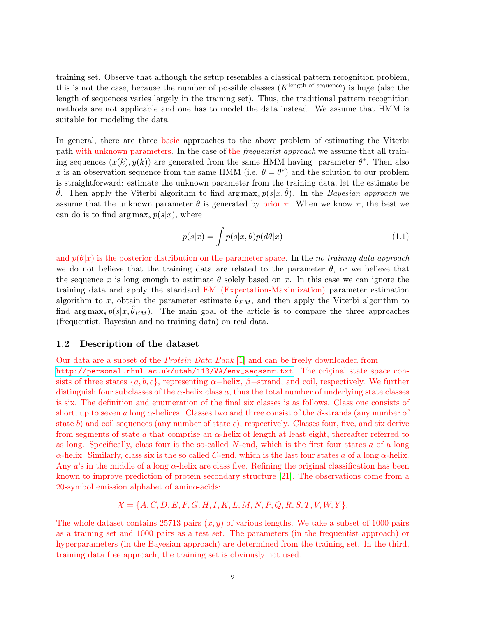training set. Observe that although the setup resembles a classical pattern recognition problem, this is not the case, because the number of possible classes  $(K^{\text{length of sequence}})$  is huge (also the length of sequences varies largely in the training set). Thus, the traditional pattern recognition methods are not applicable and one has to model the data instead. We assume that HMM is suitable for modeling the data.

In general, there are three basic approaches to the above problem of estimating the Viterbi path with unknown parameters. In the case of the frequentist approach we assume that all training sequences  $(x(k), y(k))$  are generated from the same HMM having parameter  $\theta^*$ . Then also x is an observation sequence from the same HMM (i.e.  $\theta = \theta^*$ ) and the solution to our problem is straightforward: estimate the unknown parameter from the training data, let the estimate be θ. Then apply the Viterbi algorithm to find arg max<sub>s</sub>  $p(s|x, θ)$ . In the *Bayesian approach* we assume that the unknown parameter  $\theta$  is generated by prior  $\pi$ . When we know  $\pi$ , the best we can do is to find argmax<sub>s</sub>  $p(s|x)$ , where

<span id="page-1-0"></span>
$$
p(s|x) = \int p(s|x,\theta)p(d\theta|x)
$$
\n(1.1)

and  $p(\theta|x)$  is the posterior distribution on the parameter space. In the no training data approach we do not believe that the training data are related to the parameter  $\theta$ , or we believe that the sequence x is long enough to estimate  $\theta$  solely based on x. In this case we can ignore the training data and apply the standard EM (Expectation-Maximization) parameter estimation algorithm to x, obtain the parameter estimate  $\hat{\theta}_{EM}$ , and then apply the Viterbi algorithm to find  $\arg \max_{s} p(s|x, \hat{\theta}_{EM})$ . The main goal of the article is to compare the three approaches (frequentist, Bayesian and no training data) on real data.

#### 1.2 Description of the dataset

Our data are a subset of the Protein Data Bank [\[1\]](#page-27-0) and can be freely downloaded from [http://personal.rhul.ac.uk/utah/113/VA/env\\_seqssnr.txt](http://personal.rhul.ac.uk/utah/113/VA/env_seqssnr.txt). The original state space consists of three states  $\{a, b, c\}$ , representing  $\alpha$ –helix,  $\beta$ –strand, and coil, respectively. We further distinguish four subclasses of the  $\alpha$ -helix class a, thus the total number of underlying state classes is six. The definition and enumeration of the final six classes is as follows. Class one consists of short, up to seven a long  $\alpha$ -helices. Classes two and three consist of the  $\beta$ -strands (any number of state b) and coil sequences (any number of state c), respectively. Classes four, five, and six derive from segments of state a that comprise an  $\alpha$ -helix of length at least eight, thereafter referred to as long. Specifically, class four is the so-called  $N$ -end, which is the first four states  $a$  of a long  $\alpha$ -helix. Similarly, class six is the so called C-end, which is the last four states a of a long  $\alpha$ -helix. Any a's in the middle of a long  $\alpha$ -helix are class five. Refining the original classification has been known to improve prediction of protein secondary structure [\[21\]](#page-29-0). The observations come from a 20-symbol emission alphabet of amino-acids:

$$
\mathcal{X} = \{A, C, D, E, F, G, H, I, K, L, M, N, P, Q, R, S, T, V, W, Y\}.
$$

The whole dataset contains 25713 pairs  $(x, y)$  of various lengths. We take a subset of 1000 pairs as a training set and 1000 pairs as a test set. The parameters (in the frequentist approach) or hyperparameters (in the Bayesian approach) are determined from the training set. In the third, training data free approach, the training set is obviously not used.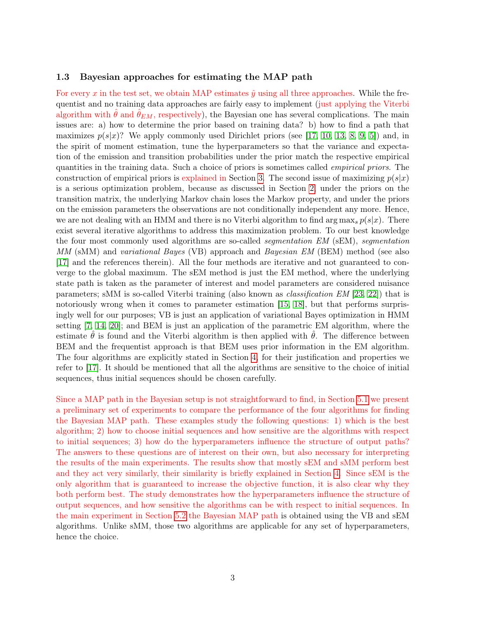#### 1.3 Bayesian approaches for estimating the MAP path

For every x in the test set, we obtain MAP estimates  $\hat{y}$  using all three approaches. While the frequentist and no training data approaches are fairly easy to implement (just applying the Viterbi algorithm with  $\ddot{\theta}$  and  $\ddot{\theta}_{EM}$ , respectively), the Bayesian one has several complications. The main issues are: a) how to determine the prior based on training data? b) how to find a path that maximizes  $p(s|x)$ ? We apply commonly used Dirichlet priors (see [\[17,](#page-28-0) [10,](#page-28-1) [13,](#page-28-2) [8,](#page-28-3) [9,](#page-28-4) [5\]](#page-28-5)) and, in the spirit of moment estimation, tune the hyperparameters so that the variance and expectation of the emission and transition probabilities under the prior match the respective empirical quantities in the training data. Such a choice of priors is sometimes called empirical priors. The construction of empirical priors is explained in Section [3.](#page-8-0) The second issue of maximizing  $p(s|x)$ is a serious optimization problem, because as discussed in Section [2,](#page-4-0) under the priors on the transition matrix, the underlying Markov chain loses the Markov property, and under the priors on the emission parameters the observations are not conditionally independent any more. Hence, we are not dealing with an HMM and there is no Viterbi algorithm to find  $\arg \max_{s} p(s|x)$ . There exist several iterative algorithms to address this maximization problem. To our best knowledge the four most commonly used algorithms are so-called segmentation EM (sEM), segmentation MM (sMM) and variational Bayes (VB) approach and Bayesian EM (BEM) method (see also [\[17\]](#page-28-0) and the references therein). All the four methods are iterative and not guaranteed to converge to the global maximum. The sEM method is just the EM method, where the underlying state path is taken as the parameter of interest and model parameters are considered nuisance parameters; sMM is so-called Viterbi training (also known as classification EM [\[23,](#page-29-1) [22\]](#page-29-2)) that is notoriously wrong when it comes to parameter estimation [\[15,](#page-28-6) [18\]](#page-28-7), but that performs surprisingly well for our purposes; VB is just an application of variational Bayes optimization in HMM setting [\[7,](#page-28-8) [14,](#page-28-9) [20\]](#page-29-3); and BEM is just an application of the parametric EM algorithm, where the estimate  $\theta$  is found and the Viterbi algorithm is then applied with  $\theta$ . The difference between BEM and the frequentist approach is that BEM uses prior information in the EM algorithm. The four algorithms are explicitly stated in Section [4,](#page-10-0) for their justification and properties we refer to [\[17\]](#page-28-0). It should be mentioned that all the algorithms are sensitive to the choice of initial sequences, thus initial sequences should be chosen carefully.

Since a MAP path in the Bayesian setup is not straightforward to find, in Section [5.1](#page-14-0) we present a preliminary set of experiments to compare the performance of the four algorithms for finding the Bayesian MAP path. These examples study the following questions: 1) which is the best algorithm; 2) how to choose initial sequences and how sensitive are the algorithms with respect to initial sequences; 3) how do the hyperparameters influence the structure of output paths? The answers to these questions are of interest on their own, but also necessary for interpreting the results of the main experiments. The results show that mostly sEM and sMM perform best and they act very similarly, their similarity is briefly explained in Section [4.](#page-10-0) Since sEM is the only algorithm that is guaranteed to increase the objective function, it is also clear why they both perform best. The study demonstrates how the hyperparameters influence the structure of output sequences, and how sensitive the algorithms can be with respect to initial sequences. In the main experiment in Section [5.2](#page-22-0) the Bayesian MAP path is obtained using the VB and sEM algorithms. Unlike sMM, those two algorithms are applicable for any set of hyperparameters, hence the choice.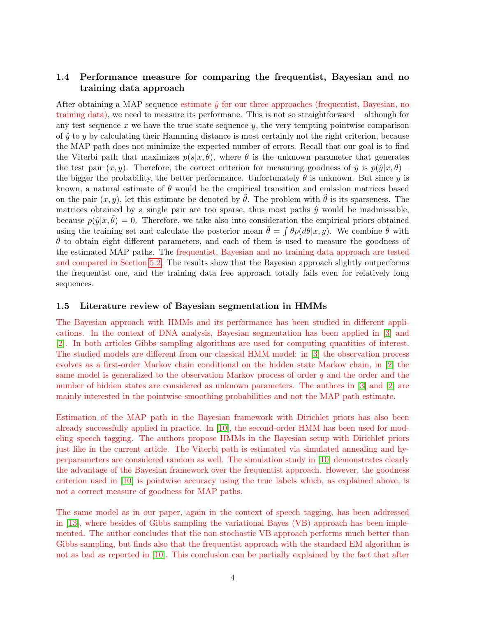### 1.4 Performance measure for comparing the frequentist, Bayesian and no training data approach

After obtaining a MAP sequence estimate  $\hat{y}$  for our three approaches (frequentist, Bayesian, no training data), we need to measure its performane. This is not so straightforward – although for any test sequence x we have the true state sequence  $y$ , the very tempting pointwise comparison of  $\hat{y}$  to y by calculating their Hamming distance is most certainly not the right criterion, because the MAP path does not minimize the expected number of errors. Recall that our goal is to find the Viterbi path that maximizes  $p(s|x, \theta)$ , where  $\theta$  is the unknown parameter that generates the test pair  $(x, y)$ . Therefore, the correct criterion for measuring goodness of  $\hat{y}$  is  $p(\hat{y}|x, \theta)$  – the bigger the probability, the better performance. Unfortunately  $\theta$  is unknown. But since y is known, a natural estimate of  $\theta$  would be the empirical transition and emission matrices based on the pair  $(x, y)$ , let this estimate be denoted by  $\hat{\theta}$ . The problem with  $\hat{\theta}$  is its sparseness. The matrices obtained by a single pair are too sparse, thus most paths  $\hat{y}$  would be inadmissable, because  $p(\hat{y}|x, \theta) = 0$ . Therefore, we take also into consideration the empirical priors obtained using the training set and calculate the posterior mean  $\bar{\theta} = \int \theta p(d\theta | x, y)$ . We combine  $\tilde{\theta}$  with  $\theta$  to obtain eight different parameters, and each of them is used to measure the goodness of the estimated MAP paths. The frequentist, Bayesian and no training data approach are tested and compared in Section [5.2.](#page-22-0) The results show that the Bayesian approach slightly outperforms the frequentist one, and the training data free approach totally fails even for relatively long sequences.

### 1.5 Literature review of Bayesian segmentation in HMMs

The Bayesian approach with HMMs and its performance has been studied in different applications. In the context of DNA analysis, Bayesian segmentation has been applied in [\[3\]](#page-27-1) and [\[2\]](#page-27-2). In both articles Gibbs sampling algorithms are used for computing quantities of interest. The studied models are different from our classical HMM model: in [\[3\]](#page-27-1) the observation process evolves as a first-order Markov chain conditional on the hidden state Markov chain, in [\[2\]](#page-27-2) the same model is generalized to the observation Markov process of order  $q$  and the order and the number of hidden states are considered as unknown parameters. The authors in [\[3\]](#page-27-1) and [\[2\]](#page-27-2) are mainly interested in the pointwise smoothing probabilities and not the MAP path estimate.

Estimation of the MAP path in the Bayesian framework with Dirichlet priors has also been already successfully applied in practice. In [\[10\]](#page-28-1), the second-order HMM has been used for modeling speech tagging. The authors propose HMMs in the Bayesian setup with Dirichlet priors just like in the current article. The Viterbi path is estimated via simulated annealing and hyperparameters are considered random as well. The simulation study in [\[10\]](#page-28-1) demonstrates clearly the advantage of the Bayesian framework over the frequentist approach. However, the goodness criterion used in [\[10\]](#page-28-1) is pointwise accuracy using the true labels which, as explained above, is not a correct measure of goodness for MAP paths.

The same model as in our paper, again in the context of speech tagging, has been addressed in [\[13\]](#page-28-2), where besides of Gibbs sampling the variational Bayes (VB) approach has been implemented. The author concludes that the non-stochastic VB approach performs much better than Gibbs sampling, but finds also that the frequentist approach with the standard EM algorithm is not as bad as reported in [\[10\]](#page-28-1). This conclusion can be partially explained by the fact that after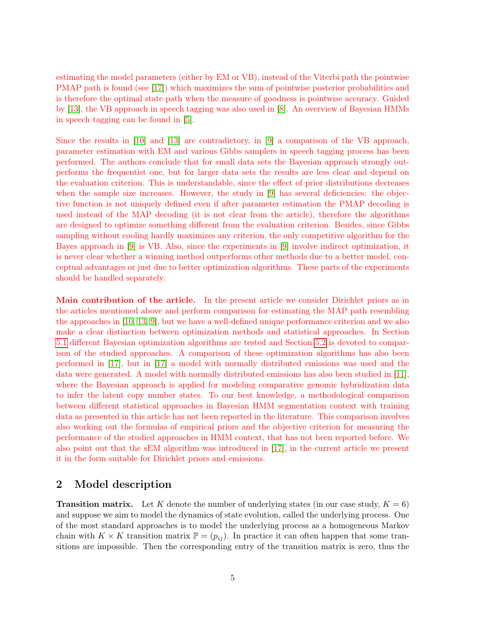estimating the model parameters (either by EM or VB), instead of the Viterbi path the pointwise PMAP path is found (see [\[17\]](#page-28-0)) which maximizes the sum of pointwise posterior probabilities and is therefore the optimal state path when the measure of goodness is pointwise accuracy. Guided by [\[13\]](#page-28-2), the VB approach in speech tagging was also used in [\[8\]](#page-28-3). An overview of Bayesian HMMs in speech tagging can be found in [\[5\]](#page-28-5).

Since the results in [\[10\]](#page-28-1) and [\[13\]](#page-28-2) are contradictory, in [\[9\]](#page-28-4) a comparison of the VB approach, parameter estimation with EM and various Gibbs samplers in speech tagging process has been performed. The authors conclude that for small data sets the Bayesian approach strongly outperforms the frequentist one, but for larger data sets the results are less clear and depend on the evaluation criterion. This is understandable, since the effect of prior distributions decreases when the sample size increases. However, the study in [\[9\]](#page-28-4) has several deficiencies: the objective function is not uniquely defined even if after parameter estimation the PMAP decoding is used instead of the MAP decoding (it is not clear from the article), therefore the algorithms are designed to optimize something different from the evaluation criterion. Besides, since Gibbs sampling without cooling hardly maximizes any criterion, the only competitive algorithm for the Bayes approach in [\[9\]](#page-28-4) is VB. Also, since the experiments in [\[9\]](#page-28-4) involve indirect optimization, it is never clear whether a winning method outperforms other methods due to a better model, conceptual advantages or just due to better optimization algorithms. These parts of the experiments should be handled separately.

Main contribution of the article. In the present article we consider Dirichlet priors as in the articles mentioned above and perform comparison for estimating the MAP path resembling the approaches in [\[10,](#page-28-1) [13,](#page-28-2) [9\]](#page-28-4), but we have a well-defined unique performance criterion and we also make a clear distinction between optimization methods and statistical approaches. In Section [5.1](#page-14-0) different Bayesian optimization algorithms are tested and Section [5.2](#page-22-0) is devoted to comparison of the studied approaches. A comparison of these optimization algorithms has also been performed in [\[17\]](#page-28-0), but in [\[17\]](#page-28-0) a model with normally distributed emissions was used and the data were generated. A model with normally distributed emissions has also been studied in [\[11\]](#page-28-10), where the Bayesian approach is applied for modeling comparative genomic hybridization data to infer the latent copy number states. To our best knowledge, a methodological comparison between different statistical approaches in Bayesian HMM segmentation context with training data as presented in this article has not been reported in the literature. This comparison involves also working out the formulas of empirical priors and the objective criterion for measuring the performance of the studied approaches in HMM context, that has not been reported before. We also point out that the sEM algorithm was introduced in [\[17\]](#page-28-0), in the current article we present it in the form suitable for Dirichlet priors and emissions.

# <span id="page-4-0"></span>2 Model description

**Transition matrix.** Let K denote the number of underlying states (in our case study,  $K = 6$ ) and suppose we aim to model the dynamics of state evolution, called the underlying process. One of the most standard approaches is to model the underlying process as a homogeneous Markov chain with  $K \times K$  transition matrix  $\mathbb{P} = (p_{ij})$ . In practice it can often happen that some transitions are impossible. Then the corresponding entry of the transition matrix is zero, thus the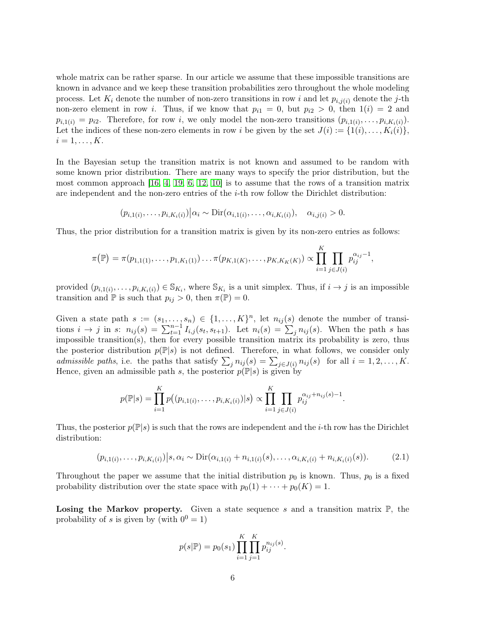whole matrix can be rather sparse. In our article we assume that these impossible transitions are known in advance and we keep these transition probabilities zero throughout the whole modeling process. Let  $K_i$  denote the number of non-zero transitions in row i and let  $p_{i,j(i)}$  denote the j-th non-zero element in row i. Thus, if we know that  $p_{i1} = 0$ , but  $p_{i2} > 0$ , then  $1(i) = 2$  and  $p_{i,1(i)} = p_{i2}$ . Therefore, for row i, we only model the non-zero transitions  $(p_{i,1(i)}, \ldots, p_{i,K_i(i)})$ . Let the indices of these non-zero elements in row i be given by the set  $J(i) := \{1(i), \ldots, K_i(i)\}\,$  $i=1,\ldots,K$ .

In the Bayesian setup the transition matrix is not known and assumed to be random with some known prior distribution. There are many ways to specify the prior distribution, but the most common approach  $[16, 4, 19, 6, 12, 10]$  $[16, 4, 19, 6, 12, 10]$  $[16, 4, 19, 6, 12, 10]$  $[16, 4, 19, 6, 12, 10]$  $[16, 4, 19, 6, 12, 10]$  $[16, 4, 19, 6, 12, 10]$  is to assume that the rows of a transition matrix are independent and the non-zero entries of the  $i$ -th row follow the Dirichlet distribution:

$$
(p_{i,1(i)},\ldots,p_{i,K_i(i)})\Big|\alpha_i \sim \mathrm{Dir}(\alpha_{i,1(i)},\ldots,\alpha_{i,K_i(i)}), \quad \alpha_{i,j(i)} > 0.
$$

Thus, the prior distribution for a transition matrix is given by its non-zero entries as follows:

$$
\pi(\mathbb{P}) = \pi(p_{1,1(1)},\ldots,p_{1,K_1(1)})\ldots\pi(p_{K,1(K)},\ldots,p_{K,K_K(K)}) \propto \prod_{i=1}^K \prod_{j\in J(i)} p_{ij}^{\alpha_{ij}-1},
$$

provided  $(p_{i,1(i)},\ldots,p_{i,K_i(i)})\in\mathbb{S}_{K_i}$ , where  $\mathbb{S}_{K_i}$  is a unit simplex. Thus, if  $i\to j$  is an impossible transition and  $\mathbb P$  is such that  $p_{ij} > 0$ , then  $\pi(\mathbb P) = 0$ .

Given a state path  $s := (s_1, \ldots, s_n) \in \{1, \ldots, K\}^n$ , let  $n_{ij}(s)$  denote the number of transitions  $i \to j$  in s:  $n_{ij}(s) = \sum_{t=1}^{n-1} I_{i,j}(s_t, s_{t+1})$ . Let  $n_i(s) = \sum_j n_{ij}(s)$ . When the path s has impossible transition(s), then for every possible transition matrix its probability is zero, thus the posterior distribution  $p(\mathbb{P}|s)$  is not defined. Therefore, in what follows, we consider only admissible paths, i.e. the paths that satisfy  $\sum_j n_{ij}(s) = \sum_{j \in J(i)} n_{ij}(s)$  for all  $i = 1, 2, ..., K$ . Hence, given an admissible path s, the posterior  $p(\mathbb{P}|s)$  is given by

$$
p(\mathbb{P}|s) = \prod_{i=1}^K p((p_{i,1(i)}, \ldots, p_{i,K_i(i)})|s) \propto \prod_{i=1}^K \prod_{j \in J(i)} p_{ij}^{\alpha_{ij}+n_{ij}(s)-1}.
$$

Thus, the posterior  $p(\mathbb{P}|s)$  is such that the rows are independent and the *i*-th row has the Dirichlet distribution:

<span id="page-5-0"></span>
$$
(p_{i,1(i)},\ldots,p_{i,K_i(i)})\Big|s,\alpha_i \sim \text{Dir}(\alpha_{i,1(i)}+n_{i,1(i)}(s),\ldots,\alpha_{i,K_i(i)}+n_{i,K_i(i)}(s)).\tag{2.1}
$$

Throughout the paper we assume that the initial distribution  $p_0$  is known. Thus,  $p_0$  is a fixed probability distribution over the state space with  $p_0(1) + \cdots + p_0(K) = 1$ .

**Losing the Markov property.** Given a state sequence s and a transition matrix  $\mathbb{P}$ , the probability of s is given by (with  $0^0 = 1$ )

$$
p(s|\mathbb{P}) = p_0(s_1) \prod_{i=1}^K \prod_{j=1}^K p_{ij}^{n_{ij}(s)}.
$$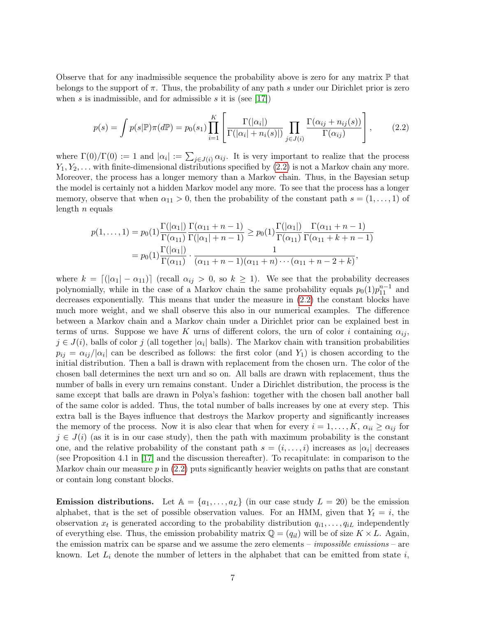Observe that for any inadmissible sequence the probability above is zero for any matrix  $\mathbb P$  that belongs to the support of  $\pi$ . Thus, the probability of any path s under our Dirichlet prior is zero when s is inadmissible, and for admissible s it is (see [\[17\]](#page-28-0))

<span id="page-6-0"></span>
$$
p(s) = \int p(s|\mathbb{P})\pi(d\mathbb{P}) = p_0(s_1) \prod_{i=1}^K \left[ \frac{\Gamma(|\alpha_i|)}{\Gamma(|\alpha_i| + n_i(s)|)} \prod_{j \in J(i)} \frac{\Gamma(\alpha_{ij} + n_{ij}(s))}{\Gamma(\alpha_{ij})} \right],
$$
 (2.2)

where  $\Gamma(0)/\Gamma(0) := 1$  and  $|\alpha_i| := \sum_{j \in J(i)} \alpha_{ij}$ . It is very important to realize that the process  $Y_1, Y_2, \ldots$  with finite-dimensional distributions specified by  $(2.2)$  is not a Markov chain any more. Moreover, the process has a longer memory than a Markov chain. Thus, in the Bayesian setup the model is certainly not a hidden Markov model any more. To see that the process has a longer memory, observe that when  $\alpha_{11} > 0$ , then the probability of the constant path  $s = (1, \ldots, 1)$  of length  $n$  equals

$$
p(1,...,1) = p_0(1) \frac{\Gamma(|\alpha_1|)}{\Gamma(\alpha_{11})} \frac{\Gamma(\alpha_{11}+n-1)}{\Gamma(|\alpha_1|+n-1)} \ge p_0(1) \frac{\Gamma(|\alpha_1|)}{\Gamma(\alpha_{11})} \frac{\Gamma(\alpha_{11}+n-1)}{\Gamma(\alpha_{11}+k+n-1)}
$$
  
=  $p_0(1) \frac{\Gamma(|\alpha_1|)}{\Gamma(\alpha_{11})} \cdot \frac{1}{(\alpha_{11}+n-1)(\alpha_{11}+n)\cdots(\alpha_{11}+n-2+k)},$ 

where  $k = \lfloor (|\alpha_1| - \alpha_{11}) \rfloor$  (recall  $\alpha_{ij} > 0$ , so  $k \ge 1$ ). We see that the probability decreases polynomially, while in the case of a Markov chain the same probability equals  $p_0(1)p_{11}^{n-1}$  and decreases exponentially. This means that under the measure in [\(2.2\)](#page-6-0) the constant blocks have much more weight, and we shall observe this also in our numerical examples. The difference between a Markov chain and a Markov chain under a Dirichlet prior can be explained best in terms of urns. Suppose we have K urns of different colors, the urn of color i containing  $\alpha_{ii}$ ,  $j \in J(i)$ , balls of color j (all together  $|\alpha_i|$  balls). The Markov chain with transition probabilities  $p_{ij} = \alpha_{ij}/|\alpha_i|$  can be described as follows: the first color (and  $Y_1$ ) is chosen according to the initial distribution. Then a ball is drawn with replacement from the chosen urn. The color of the chosen ball determines the next urn and so on. All balls are drawn with replacement, thus the number of balls in every urn remains constant. Under a Dirichlet distribution, the process is the same except that balls are drawn in Polya's fashion: together with the chosen ball another ball of the same color is added. Thus, the total number of balls increases by one at every step. This extra ball is the Bayes influence that destroys the Markov property and significantly increases the memory of the process. Now it is also clear that when for every  $i = 1, ..., K$ ,  $\alpha_{ii} \geq \alpha_{ij}$  for  $j \in J(i)$  (as it is in our case study), then the path with maximum probability is the constant one, and the relative probability of the constant path  $s = (i, \ldots, i)$  increases as  $|\alpha_i|$  decreases (see Proposition 4.1 in [\[17\]](#page-28-0) and the discussion thereafter). To recapitulate: in comparison to the Markov chain our measure  $p$  in  $(2.2)$  puts significantly heavier weights on paths that are constant or contain long constant blocks.

**Emission distributions.** Let  $A = \{a_1, \ldots, a_L\}$  (in our case study  $L = 20$ ) be the emission alphabet, that is the set of possible observation values. For an HMM, given that  $Y_t = i$ , the observation  $x_t$  is generated according to the probability distribution  $q_{i1}, \ldots, q_{iL}$  independently of everything else. Thus, the emission probability matrix  $\mathbb{Q} = (q_{il})$  will be of size  $K \times L$ . Again, the emission matrix can be sparse and we assume the zero elements –  $impossible$  emissions – are known. Let  $L_i$  denote the number of letters in the alphabet that can be emitted from state  $i$ ,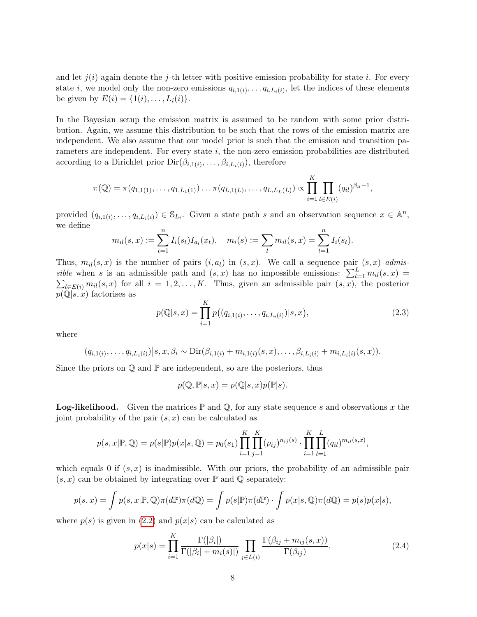and let  $j(i)$  again denote the j-th letter with positive emission probability for state i. For every state *i*, we model only the non-zero emissions  $q_{i,1(i)}, \ldots, q_{i,L_i(i)}$ , let the indices of these elements be given by  $E(i) = \{1(i), \ldots, L_i(i)\}.$ 

In the Bayesian setup the emission matrix is assumed to be random with some prior distribution. Again, we assume this distribution to be such that the rows of the emission matrix are independent. We also assume that our model prior is such that the emission and transition parameters are independent. For every state  $i$ , the non-zero emission probabilities are distributed according to a Dirichlet prior  $\text{Dir}(\beta_{i,1(i)},\ldots,\beta_{i,L_i(i)})$ , therefore

$$
\pi(\mathbb{Q}) = \pi(q_{1,1(1)},\ldots,q_{1,L_1(1)})\ldots\pi(q_{L,1(L)},\ldots,q_{L,L_L(L)}) \propto \prod_{i=1}^K \prod_{l\in E(i)} (q_{il})^{\beta_{il}-1},
$$

provided  $(q_{i,1(i)},\ldots,q_{i,L_i(i)}) \in \mathbb{S}_{L_i}$ . Given a state path s and an observation sequence  $x \in \mathbb{A}^n$ , we define

$$
m_{il}(s,x) := \sum_{t=1}^{n} I_i(s_t) I_{a_l}(x_t), \quad m_i(s) := \sum_{l} m_{il}(s,x) = \sum_{t=1}^{n} I_i(s_t).
$$

Thus,  $m_{il}(s, x)$  is the number of pairs  $(i, a_l)$  in  $(s, x)$ . We call a sequence pair  $(s, x)$  admissible when s is an admissible path and  $(s, x)$  has no impossible emissions:  $\sum_{l=1}^{L} m_{il}(s, x)$  $\sum_{l\in E(i)} m_{il}(s,x)$  for all  $i=1,2,\ldots,K$ . Thus, given an admissible pair  $(s,x)$ , the posterior  $p(\mathbb{Q}|s, x)$  factorises as

<span id="page-7-1"></span>
$$
p(\mathbb{Q}|s,x) = \prod_{i=1}^{K} p((q_{i,1(i)}, \dots, q_{i,L_i(i)})|s,x),
$$
\n(2.3)

where

$$
(q_{i,1(i)},\ldots,q_{i,L_i(i)})|s,x,\beta_i \sim \mathrm{Dir}(\beta_{i,1(i)}+m_{i,1(i)}(s,x),\ldots,\beta_{i,L_i(i)}+m_{i,L_i(i)}(s,x)).
$$

Since the priors on  $\mathbb Q$  and  $\mathbb P$  are independent, so are the posteriors, thus

$$
p(\mathbb{Q}, \mathbb{P}|s, x) = p(\mathbb{Q}|s, x)p(\mathbb{P}|s).
$$

**Log-likelihood.** Given the matrices  $\mathbb P$  and  $\mathbb Q$ , for any state sequence s and observations x the joint probability of the pair  $(s, x)$  can be calculated as

$$
p(s,x|\mathbb{P},\mathbb{Q}) = p(s|\mathbb{P})p(x|s,\mathbb{Q}) = p_0(s_1) \prod_{i=1}^K \prod_{j=1}^K (p_{ij})^{n_{ij}(s)} \cdot \prod_{i=1}^K \prod_{l=1}^L (q_{il})^{m_{il}(s,x)},
$$

which equals 0 if  $(s, x)$  is inadmissible. With our priors, the probability of an admissible pair  $(s, x)$  can be obtained by integrating over  $\mathbb P$  and  $\mathbb Q$  separately:

$$
p(s,x) = \int p(s,x|\mathbb{P},\mathbb{Q})\pi(d\mathbb{P})\pi(d\mathbb{Q}) = \int p(s|\mathbb{P})\pi(d\mathbb{P}) \cdot \int p(x|s,\mathbb{Q})\pi(d\mathbb{Q}) = p(s)p(x|s),
$$

where  $p(s)$  is given in [\(2.2\)](#page-6-0) and  $p(x|s)$  can be calculated as

<span id="page-7-0"></span>
$$
p(x|s) = \prod_{i=1}^{K} \frac{\Gamma(|\beta_i|)}{\Gamma(|\beta_i| + m_i(s)|)} \prod_{j \in L(i)} \frac{\Gamma(\beta_{ij} + m_{ij}(s, x))}{\Gamma(\beta_{ij})}.
$$
\n(2.4)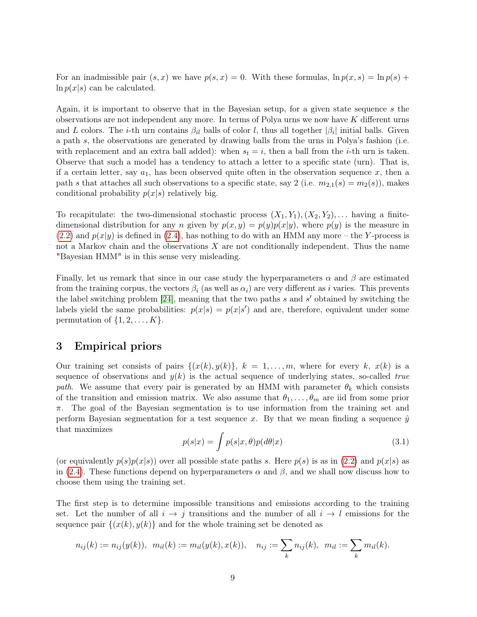For an inadmissible pair  $(s, x)$  we have  $p(s, x) = 0$ . With these formulas,  $\ln p(x, s) = \ln p(s) +$  $\ln p(x|s)$  can be calculated.

Again, it is important to observe that in the Bayesian setup, for a given state sequence s the observations are not independent any more. In terms of Polya urns we now have K different urns and L colors. The *i*-th urn contains  $\beta_{il}$  balls of color l, thus all together  $|\beta_i|$  initial balls. Given a path s, the observations are generated by drawing balls from the urns in Polya's fashion (i.e. with replacement and an extra ball added): when  $s_t = i$ , then a ball from the *i*-th urn is taken. Observe that such a model has a tendency to attach a letter to a specific state (urn). That is, if a certain letter, say  $a_1$ , has been observed quite often in the observation sequence x, then a path s that attaches all such observations to a specific state, say 2 (i.e.  $m_{2,1}(s) = m_2(s)$ ), makes conditional probability  $p(x|s)$  relatively big.

To recapitulate: the two-dimensional stochastic process  $(X_1, Y_1), (X_2, Y_2), \ldots$  having a finitedimensional distribution for any n given by  $p(x, y) = p(y)p(x|y)$ , where  $p(y)$  is the measure in  $(2.2)$  and  $p(x|y)$  is defined in  $(2.4)$ , has nothing to do with an HMM any more – the Y-process is not a Markov chain and the observations X are not conditionally independent. Thus the name "Bayesian HMM" is in this sense very misleading.

Finally, let us remark that since in our case study the hyperparameters  $\alpha$  and  $\beta$  are estimated from the training corpus, the vectors  $\beta_i$  (as well as  $\alpha_i$ ) are very different as i varies. This prevents the label switching problem  $[24]$ , meaning that the two paths s and s' obtained by switching the labels yield the same probabilities:  $p(x|s) = p(x|s')$  and are, therefore, equivalent under some permutation of  $\{1, 2, \ldots, K\}$ .

### <span id="page-8-0"></span>3 Empirical priors

Our training set consists of pairs  $\{(x(k), y(k)\}, k = 1, \ldots, m,$  where for every k,  $x(k)$  is a sequence of observations and  $y(k)$  is the actual sequence of underlying states, so-called true path. We assume that every pair is generated by an HMM with parameter  $\theta_k$  which consists of the transition and emission matrix. We also assume that  $\theta_1, \ldots, \theta_m$  are iid from some prior  $\pi$ . The goal of the Bayesian segmentation is to use information from the training set and perform Bayesian segmentation for a test sequence x. By that we mean finding a sequence  $\hat{y}$ that maximizes

$$
p(s|x) = \int p(s|x,\theta)p(d\theta|x)
$$
\n(3.1)

(or equivalently  $p(s)p(x|s)$ ) over all possible state paths s. Here  $p(s)$  is as in [\(2.2\)](#page-6-0) and  $p(x|s)$  as in [\(2.4\)](#page-7-0). These functions depend on hyperparameters  $\alpha$  and  $\beta$ , and we shall now discuss how to choose them using the training set.

The first step is to determine impossible transitions and emissions according to the training set. Let the number of all  $i \to j$  transitions and the number of all  $i \to l$  emissions for the sequence pair  $\{(x(k), y(k))\}$  and for the whole training set be denoted as

$$
n_{ij}(k) := n_{ij}(y(k)), \ \ m_{il}(k) := m_{il}(y(k), x(k)), \quad n_{ij} := \sum_k n_{ij}(k), \ \ m_{il} := \sum_k m_{il}(k).
$$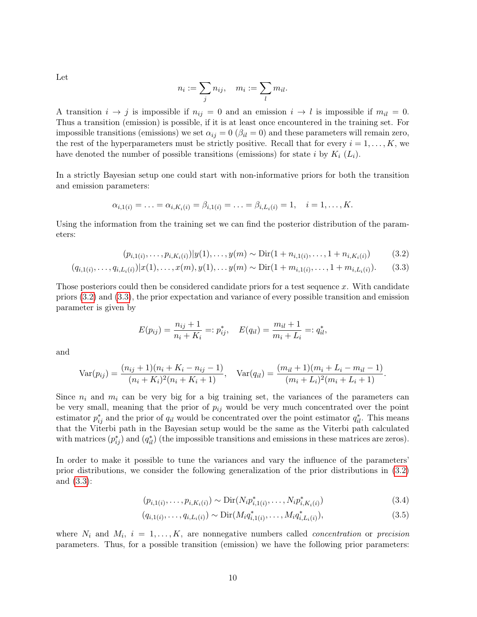Let

$$
n_i := \sum_j n_{ij}, \quad m_i := \sum_l m_{il}.
$$

A transition  $i \to j$  is impossible if  $n_{ij} = 0$  and an emission  $i \to l$  is impossible if  $m_{il} = 0$ . Thus a transition (emission) is possible, if it is at least once encountered in the training set. For impossible transitions (emissions) we set  $\alpha_{ij} = 0$  ( $\beta_{il} = 0$ ) and these parameters will remain zero, the rest of the hyperparameters must be strictly positive. Recall that for every  $i = 1, \ldots, K$ , we have denoted the number of possible transitions (emissions) for state i by  $K_i$  ( $L_i$ ).

In a strictly Bayesian setup one could start with non-informative priors for both the transition and emission parameters:

$$
\alpha_{i,1(i)} = \ldots = \alpha_{i,K_i(i)} = \beta_{i,1(i)} = \ldots = \beta_{i,L_i(i)} = 1, \quad i = 1,\ldots,K.
$$

Using the information from the training set we can find the posterior distribution of the parameters:

$$
(p_{i,1(i)},\ldots,p_{i,K_i(i)})|y(1),\ldots,y(m) \sim \text{Dir}(1+n_{i,1(i)},\ldots,1+n_{i,K_i(i)})
$$
(3.2)

$$
(q_{i,1(i)},\ldots,q_{i,L_i(i)})|x(1),\ldots,x(m),y(1),\ldots,y(m) \sim \text{Dir}(1+m_{i,1(i)},\ldots,1+m_{i,L_i(i)}).
$$
 (3.3)

Those posteriors could then be considered candidate priors for a test sequence x. With candidate priors [\(3.2\)](#page-9-0) and [\(3.3\)](#page-9-1), the prior expectation and variance of every possible transition and emission parameter is given by

<span id="page-9-1"></span><span id="page-9-0"></span>
$$
E(p_{ij}) = \frac{n_{ij} + 1}{n_i + K_i} =: p_{ij}^*, \quad E(q_{il}) = \frac{m_{il} + 1}{m_i + L_i} =: q_{il}^*,
$$

and

$$
\text{Var}(p_{ij}) = \frac{(n_{ij} + 1)(n_i + K_i - n_{ij} - 1)}{(n_i + K_i)^2(n_i + K_i + 1)}, \quad \text{Var}(q_{il}) = \frac{(m_{il} + 1)(m_i + L_i - m_{il} - 1)}{(m_i + L_i)^2(m_i + L_i + 1)}.
$$

Since  $n_i$  and  $m_i$  can be very big for a big training set, the variances of the parameters can be very small, meaning that the prior of  $p_{ij}$  would be very much concentrated over the point estimator  $p_{ij}^*$  and the prior of  $q_{il}$  would be concentrated over the point estimator  $q_{il}^*$ . This means that the Viterbi path in the Bayesian setup would be the same as the Viterbi path calculated with matrices  $(p_{ij}^*)$  and  $(q_{il}^*)$  (the impossible transitions and emissions in these matrices are zeros).

In order to make it possible to tune the variances and vary the influence of the parameters' prior distributions, we consider the following generalization of the prior distributions in [\(3.2\)](#page-9-0) and [\(3.3\)](#page-9-1):

<span id="page-9-3"></span><span id="page-9-2"></span>
$$
(p_{i,1(i)},\ldots,p_{i,K_i(i)}) \sim \text{Dir}(N_i p_{i,1(i)}^*,\ldots,N_i p_{i,K_i(i)}^*)
$$
\n(3.4)

$$
(q_{i,1(i)},\ldots,q_{i,L_i(i)}) \sim \text{Dir}(M_i q_{i,1(i)}^*,\ldots,M_i q_{i,L_i(i)}^*),
$$
\n(3.5)

where  $N_i$  and  $M_i$ ,  $i = 1, \ldots, K$ , are nonnegative numbers called *concentration* or *precision* parameters. Thus, for a possible transition (emission) we have the following prior parameters: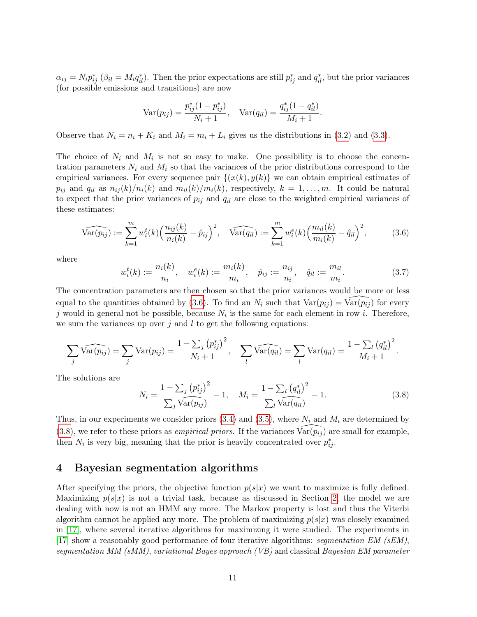$\alpha_{ij} = N_i p_{ij}^*$  ( $\beta_{il} = M_i q_{il}^*$ ). Then the prior expectations are still  $p_{ij}^*$  and  $q_{il}^*$ , but the prior variances (for possible emissions and transitions) are now

$$
\text{Var}(p_{ij}) = \frac{p_{ij}^*(1 - p_{ij}^*)}{N_i + 1}, \quad \text{Var}(q_{il}) = \frac{q_{ij}^*(1 - q_{il}^*)}{M_i + 1}.
$$

Observe that  $N_i = n_i + K_i$  and  $M_i = m_i + L_i$  gives us the distributions in [\(3.2\)](#page-9-0) and [\(3.3\)](#page-9-1).

The choice of  $N_i$  and  $M_i$  is not so easy to make. One possibility is to choose the concentration parameters  $N_i$  and  $M_i$  so that the variances of the prior distributions correspond to the empirical variances. For every sequence pair  $\{(x(k), y(k)\}\)$  we can obtain empirical estimates of  $p_{ij}$  and  $q_{il}$  as  $n_{ij}(k)/n_i(k)$  and  $m_{il}(k)/m_i(k)$ , respectively,  $k = 1, \ldots, m$ . It could be natural to expect that the prior variances of  $p_{ij}$  and  $q_{il}$  are close to the weighted empirical variances of these estimates:

<span id="page-10-1"></span>
$$
\widehat{\text{Var}(p_{ij})} := \sum_{k=1}^{m} w_i^t(k) \left( \frac{n_{ij}(k)}{n_i(k)} - \hat{p}_{ij} \right)^2, \quad \widehat{\text{Var}(q_{il})} := \sum_{k=1}^{m} w_i^e(k) \left( \frac{m_{il}(k)}{m_i(k)} - \hat{q}_{il} \right)^2, \tag{3.6}
$$

where

<span id="page-10-3"></span>
$$
w_i^t(k) := \frac{n_i(k)}{n_i}, \quad w_i^e(k) := \frac{m_i(k)}{m_i}, \quad \hat{p}_{ij} := \frac{n_{ij}}{n_i}, \quad \hat{q}_{il} := \frac{m_{il}}{m_i}.
$$
 (3.7)

The concentration parameters are then chosen so that the prior variances would be more or less equal to the quantities obtained by [\(3.6\)](#page-10-1). To find an  $N_i$  such that  $Var(p_{ij}) = Var(p_{ij})$  for every j would in general not be possible, because  $N_i$  is the same for each element in row i. Therefore, we sum the variances up over  $j$  and  $l$  to get the following equations:

$$
\sum_{j} \widehat{\text{Var}(p_{ij})} = \sum_{j} \text{Var}(p_{ij}) = \frac{1 - \sum_{j} (p_{ij}^{*})^{2}}{N_{i} + 1}, \quad \sum_{l} \widehat{\text{Var}(q_{il})} = \sum_{l} \text{Var}(q_{il}) = \frac{1 - \sum_{l} (q_{il}^{*})^{2}}{M_{i} + 1}.
$$

The solutions are

<span id="page-10-2"></span>
$$
N_i = \frac{1 - \sum_j (p_{ij}^*)^2}{\sum_j \widehat{\text{Var}(p_{ij})}} - 1, \quad M_i = \frac{1 - \sum_l (q_{il}^*)^2}{\sum_l \widehat{\text{Var}(q_{il})}} - 1.
$$
 (3.8)

Thus, in our experiments we consider priors  $(3.4)$  and  $(3.5)$ , where  $N_i$  and  $M_i$  are determined by [\(3.8\)](#page-10-2), we refer to these priors as *empirical priors*. If the variances  $\widehat{\text{Var}(p_{ij})}$  are small for example, then  $N_i$  is very big, meaning that the prior is heavily concentrated over  $p_{ij}^*$ .

# <span id="page-10-0"></span>4 Bayesian segmentation algorithms

After specifying the priors, the objective function  $p(s|x)$  we want to maximize is fully defined. Maximizing  $p(s|x)$  is not a trivial task, because as discussed in Section [2,](#page-4-0) the model we are dealing with now is not an HMM any more. The Markov property is lost and thus the Viterbi algorithm cannot be applied any more. The problem of maximizing  $p(s|x)$  was closely examined in [\[17\]](#page-28-0), where several iterative algorithms for maximizing it were studied. The experiments in [\[17\]](#page-28-0) show a reasonably good performance of four iterative algorithms: segmentation EM (sEM), segmentation MM (sMM), variational Bayes approach (VB) and classical Bayesian EM parameter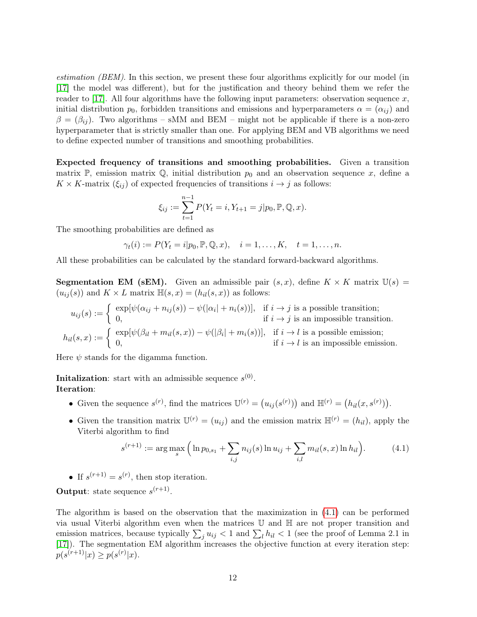estimation (BEM). In this section, we present these four algorithms explicitly for our model (in [\[17\]](#page-28-0) the model was different), but for the justification and theory behind them we refer the reader to [\[17\]](#page-28-0). All four algorithms have the following input parameters: observation sequence x, initial distribution  $p_0$ , forbidden transitions and emissions and hyperparameters  $\alpha = (\alpha_{ij})$  and  $\beta = (\beta_{ij})$ . Two algorithms – sMM and BEM – might not be applicable if there is a non-zero hyperparameter that is strictly smaller than one. For applying BEM and VB algorithms we need to define expected number of transitions and smoothing probabilities.

Expected frequency of transitions and smoothing probabilities. Given a transition matrix P, emission matrix Q, initial distribution  $p_0$  and an observation sequence x, define a  $K \times K$ -matrix  $(\xi_{ij})$  of expected frequencies of transitions  $i \to j$  as follows:

$$
\xi_{ij} := \sum_{t=1}^{n-1} P(Y_t = i, Y_{t+1} = j | p_0, \mathbb{P}, \mathbb{Q}, x).
$$

The smoothing probabilities are defined as

$$
\gamma_t(i) := P(Y_t = i | p_0, \mathbb{P}, \mathbb{Q}, x), \quad i = 1, \dots, K, \quad t = 1, \dots, n.
$$

All these probabilities can be calculated by the standard forward-backward algorithms.

**Segmentation EM (sEM).** Given an admissible pair  $(s, x)$ , define  $K \times K$  matrix  $\mathbb{U}(s) =$  $(u_{ij}(s))$  and  $K \times L$  matrix  $\mathbb{H}(s,x) = (h_{il}(s,x))$  as follows:

$$
u_{ij}(s) := \begin{cases} \exp[\psi(\alpha_{ij} + n_{ij}(s)) - \psi(|\alpha_i| + n_i(s))], & \text{if } i \to j \text{ is a possible transition;} \\ 0, & \text{if } i \to j \text{ is an impossible transition.} \end{cases}
$$

$$
h_{il}(s,x) := \begin{cases} \exp[\psi(\beta_{il} + m_{il}(s,x)) - \psi(|\beta_i| + m_i(s))], & \text{if } i \to l \text{ is a possible emission;} \\ 0, & \text{if } i \to l \text{ is an impossible emission.} \end{cases}
$$

Here  $\psi$  stands for the digamma function.

**Initalization**: start with an admissible sequence  $s^{(0)}$ . Iteration:

- Given the sequence  $s^{(r)}$ , find the matrices  $\mathbb{U}^{(r)} = (u_{ij}(s^{(r)}) )$  and  $\mathbb{H}^{(r)} = (h_{il}(x, s^{(r)}) )$ .
- Given the transition matrix  $\mathbb{U}^{(r)} = (u_{ij})$  and the emission matrix  $\mathbb{H}^{(r)} = (h_{il})$ , apply the Viterbi algorithm to find

<span id="page-11-0"></span>
$$
s^{(r+1)} := \arg\max_{s} \left( \ln p_{0,s_1} + \sum_{i,j} n_{ij}(s) \ln u_{ij} + \sum_{i,l} m_{il}(s,x) \ln h_{il} \right). \tag{4.1}
$$

• If  $s^{(r+1)} = s^{(r)}$ , then stop iteration.

**Output:** state sequence  $s^{(r+1)}$ .

The algorithm is based on the observation that the maximization in [\(4.1\)](#page-11-0) can be performed via usual Viterbi algorithm even when the matrices U and H are not proper transition and emission matrices, because typically  $\sum_j u_{ij} < 1$  and  $\sum_l h_{il} < 1$  (see the proof of Lemma 2.1 in [\[17\]](#page-28-0)). The segmentation EM algorithm increases the objective function at every iteration step:  $p(s^{(r+1)}|x) \ge p(s^{(r)}|x).$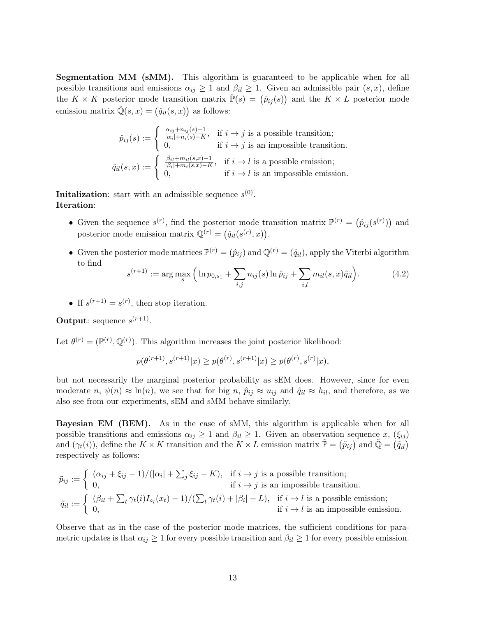Segmentation MM (sMM). This algorithm is guaranteed to be applicable when for all possible transitions and emissions  $\alpha_{ij} \geq 1$  and  $\beta_{il} \geq 1$ . Given an admissible pair  $(s, x)$ , define the  $K \times K$  posterior mode transition matrix  $\hat{P}(s) = (\hat{p}_{ij}(s))$  and the  $K \times L$  posterior mode emission matrix  $\hat{\mathbb{Q}}(s,x) = (\hat{q}_{il}(s,x))$  as follows:

$$
\hat{p}_{ij}(s) := \begin{cases}\n\frac{\alpha_{ij} + n_{ij}(s) - 1}{|\alpha_i| + n_i(s) - K}, & \text{if } i \to j \text{ is a possible transition;} \\
0, & \text{if } i \to j \text{ is an impossible transition.} \\
\hat{q}_{il}(s, x) := \begin{cases}\n\frac{\beta_{il} + m_{il}(s, x) - 1}{|\beta_i| + m_i(s, x) - K}, & \text{if } i \to l \text{ is a possible emission;} \\
0, & \text{if } i \to l \text{ is an impossible emission.}\n\end{cases}\n\end{cases}
$$

**Initalization**: start with an admissible sequence  $s^{(0)}$ . Iteration:

- Given the sequence  $s^{(r)}$ , find the posterior mode transition matrix  $\mathbb{P}^{(r)} = (\hat{p}_{ij}(s^{(r)}))$  and posterior mode emission matrix  $\mathbb{Q}^{(r)} = (\hat{q}_{il}(s^{(r)}, x)).$
- Given the posterior mode matrices  $\mathbb{P}^{(r)} = (\hat{p}_{ij})$  and  $\mathbb{Q}^{(r)} = (\hat{q}_{il})$ , apply the Viterbi algorithm to find

$$
s^{(r+1)} := \arg\max_{s} \left( \ln p_{0,s_1} + \sum_{i,j} n_{ij}(s) \ln \hat{p}_{ij} + \sum_{i,l} m_{il}(s,x) \hat{q}_{il} \right).
$$
 (4.2)

• If  $s^{(r+1)} = s^{(r)}$ , then stop iteration.

Output: sequence  $s^{(r+1)}$ .

Let  $\theta^{(r)} = (\mathbb{P}^{(r)}, \mathbb{Q}^{(r)})$ . This algorithm increases the joint posterior likelihood:

$$
p(\theta^{(r+1)}, s^{(r+1)}|x) \ge p(\theta^{(r)}, s^{(r+1)}|x) \ge p(\theta^{(r)}, s^{(r)}|x),
$$

but not necessarily the marginal posterior probability as sEM does. However, since for even moderate n,  $\psi(n) \approx \ln(n)$ , we see that for big n,  $\hat{p}_{ij} \approx u_{ij}$  and  $\hat{q}_{il} \approx h_{il}$ , and therefore, as we also see from our experiments, sEM and sMM behave similarly.

Bayesian EM (BEM). As in the case of sMM, this algorithm is applicable when for all possible transitions and emissions  $\alpha_{ij} \geq 1$  and  $\beta_{il} \geq 1$ . Given an observation sequence x,  $(\xi_{ij})$ and  $(\gamma_t(i))$ , define the  $K \times K$  transition and the  $K \times L$  emission matrix  $\tilde{\mathbb{P}} = (\tilde{p}_{ij})$  and  $\tilde{\mathbb{Q}} = (\tilde{q}_{il})$ respectively as follows:

$$
\tilde{p}_{ij} := \begin{cases}\n(\alpha_{ij} + \xi_{ij} - 1)/(|\alpha_i| + \sum_j \xi_{ij} - K), & \text{if } i \to j \text{ is a possible transition;} \\
0, & \text{if } i \to j \text{ is an impossible transition.} \\
\tilde{q}_{il} := \begin{cases}\n(\beta_{il} + \sum_t \gamma_t(i)I_{a_l}(x_t) - 1)/(\sum_t \gamma_t(i) + |\beta_i| - L), & \text{if } i \to l \text{ is a possible emission;} \\
0, & \text{if } i \to l \text{ is an impossible emission.}\n\end{cases}\n\end{cases}
$$

Observe that as in the case of the posterior mode matrices, the sufficient conditions for parametric updates is that  $\alpha_{ij} \geq 1$  for every possible transition and  $\beta_{il} \geq 1$  for every possible emission.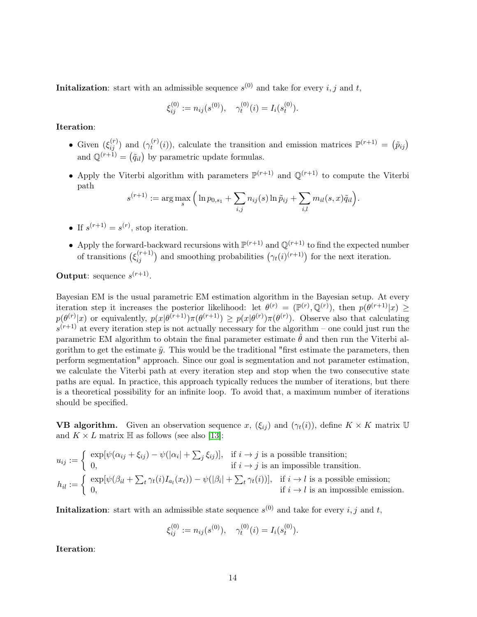**Initalization**: start with an admissible sequence  $s^{(0)}$  and take for every  $i, j$  and  $t$ ,

$$
\xi_{ij}^{(0)} := n_{ij}(s^{(0)}), \quad \gamma_t^{(0)}(i) = I_i(s_t^{(0)}).
$$

Iteration:

- Given  $(\xi_{ij}^{(r)})$  and  $(\gamma_t^{(r)})$  $t^{(r)}(i)$ , calculate the transition and emission matrices  $\mathbb{P}^{(r+1)} = (\tilde{p}_{ij})$ and  $\mathbb{Q}^{(r+1)} = (\tilde{q}_{il})$  by parametric update formulas.
- Apply the Viterbi algorithm with parameters  $\mathbb{P}^{(r+1)}$  and  $\mathbb{Q}^{(r+1)}$  to compute the Viterbi path

$$
s^{(r+1)} := \arg \max_{s} \left( \ln p_{0,s_1} + \sum_{i,j} n_{ij}(s) \ln \tilde{p}_{ij} + \sum_{i,l} m_{il}(s,x) \tilde{q}_{il} \right).
$$

- If  $s^{(r+1)} = s^{(r)}$ , stop iteration.
- Apply the forward-backward recursions with  $\mathbb{P}^{(r+1)}$  and  $\mathbb{Q}^{(r+1)}$  to find the expected number of transitions  $(\xi_{ij}^{(r+1)})$  and smoothing probabilities  $(\gamma_t(i)^{(r+1)})$  for the next iteration.

Output: sequence  $s^{(r+1)}$ .

Bayesian EM is the usual parametric EM estimation algorithm in the Bayesian setup. At every iteration step it increases the posterior likelihood: let  $\theta^{(r)} = (\mathbb{P}^{(r)}, \mathbb{Q}^{(r)})$ , then  $p(\theta^{(r+1)}|x) \ge$  $p(\theta^{(r)}|x)$  or equivalently,  $p(x|\theta^{(r+1)})\pi(\theta^{(r+1)}) \geq p(x|\theta^{(r)})\pi(\theta^{(r)})$ . Observe also that calculating  $s^{(r+1)}$  at every iteration step is not actually necessary for the algorithm – one could just run the parametric EM algorithm to obtain the final parameter estimate  $\hat{\theta}$  and then run the Viterbi algorithm to get the estimate  $\hat{y}$ . This would be the traditional "first estimate the parameters, then perform segmentation" approach. Since our goal is segmentation and not parameter estimation, we calculate the Viterbi path at every iteration step and stop when the two consecutive state paths are equal. In practice, this approach typically reduces the number of iterations, but there is a theoretical possibility for an infinite loop. To avoid that, a maximum number of iterations should be specified.

**VB algorithm.** Given an observation sequence x,  $(\xi_{ij})$  and  $(\gamma_t(i))$ , define  $K \times K$  matrix U and  $K \times L$  matrix  $\mathbb H$  as follows (see also [\[13\]](#page-28-2):

$$
u_{ij} := \begin{cases} \exp[\psi(\alpha_{ij} + \xi_{ij}) - \psi(|\alpha_i| + \sum_j \xi_{ij})], & \text{if } i \to j \text{ is a possible transition;} \\ 0, & \text{if } i \to j \text{ is an impossible transition.} \end{cases}
$$

$$
h_{il} := \begin{cases} \exp[\psi(\beta_{il} + \sum_t \gamma_t(i)I_{a_l}(x_t)) - \psi(|\beta_i| + \sum_t \gamma_t(i))], & \text{if } i \to l \text{ is a possible emission;} \\ 0, & \text{if } i \to l \text{ is an impossible emission.} \end{cases}
$$

**Initalization**: start with an admissible state sequence  $s^{(0)}$  and take for every  $i, j$  and  $t$ ,

$$
\xi_{ij}^{(0)} := n_{ij}(s^{(0)}), \quad \gamma_t^{(0)}(i) = I_i(s_t^{(0)}).
$$

Iteration: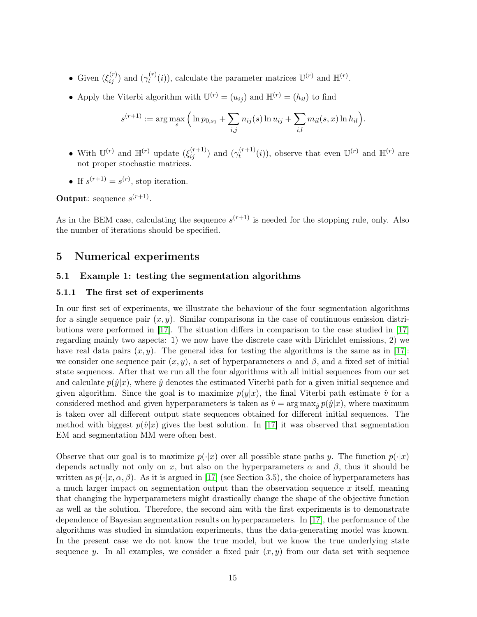- Given  $(\xi_{ij}^{(r)})$  and  $(\gamma_t^{(r)})$  $t^{(r)}(i)$ , calculate the parameter matrices  $\mathbb{U}^{(r)}$  and  $\mathbb{H}^{(r)}$ .
- Apply the Viterbi algorithm with  $\mathbb{U}^{(r)} = (u_{ij})$  and  $\mathbb{H}^{(r)} = (h_{il})$  to find

$$
s^{(r+1)} := \arg\max_{s} \left( \ln p_{0,s_1} + \sum_{i,j} n_{ij}(s) \ln u_{ij} + \sum_{i,l} m_{il}(s,x) \ln h_{il} \right).
$$

- With  $\mathbb{U}^{(r)}$  and  $\mathbb{H}^{(r)}$  update  $(\xi_{ij}^{(r+1)})$  and  $(\gamma_t^{(r+1)})$  $t_t^{(r+1)}(i)$ , observe that even  $\mathbb{U}^{(r)}$  and  $\mathbb{H}^{(r)}$  are not proper stochastic matrices.
- If  $s^{(r+1)} = s^{(r)}$ , stop iteration.

Output: sequence  $s^{(r+1)}$ .

As in the BEM case, calculating the sequence  $s^{(r+1)}$  is needed for the stopping rule, only. Also the number of iterations should be specified.

# 5 Numerical experiments

#### <span id="page-14-0"></span>5.1 Example 1: testing the segmentation algorithms

#### 5.1.1 The first set of experiments

In our first set of experiments, we illustrate the behaviour of the four segmentation algorithms for a single sequence pair  $(x, y)$ . Similar comparisons in the case of continuous emission distributions were performed in [\[17\]](#page-28-0). The situation differs in comparison to the case studied in [\[17\]](#page-28-0) regarding mainly two aspects: 1) we now have the discrete case with Dirichlet emissions, 2) we have real data pairs  $(x, y)$ . The general idea for testing the algorithms is the same as in [\[17\]](#page-28-0): we consider one sequence pair  $(x, y)$ , a set of hyperparameters  $\alpha$  and  $\beta$ , and a fixed set of initial state sequences. After that we run all the four algorithms with all initial sequences from our set and calculate  $p(\hat{y}|x)$ , where  $\hat{y}$  denotes the estimated Viterbi path for a given initial sequence and given algorithm. Since the goal is to maximize  $p(y|x)$ , the final Viterbi path estimate  $\hat{v}$  for a considered method and given hyperparameters is taken as  $\hat{v} = \arg \max_{\hat{y}} p(\hat{y}|x)$ , where maximum is taken over all different output state sequences obtained for different initial sequences. The method with biggest  $p(\hat{v}|x)$  gives the best solution. In [\[17\]](#page-28-0) it was observed that segmentation EM and segmentation MM were often best.

Observe that our goal is to maximize  $p(\cdot|x)$  over all possible state paths y. The function  $p(\cdot|x)$ depends actually not only on x, but also on the hyperparameters  $\alpha$  and  $\beta$ , thus it should be written as  $p(\cdot|x,\alpha,\beta)$ . As it is argued in [\[17\]](#page-28-0) (see Section 3.5), the choice of hyperparameters has a much larger impact on segmentation output than the observation sequence  $x$  itself, meaning that changing the hyperparameters might drastically change the shape of the objective function as well as the solution. Therefore, the second aim with the first experiments is to demonstrate dependence of Bayesian segmentation results on hyperparameters. In [\[17\]](#page-28-0), the performance of the algorithms was studied in simulation experiments, thus the data-generating model was known. In the present case we do not know the true model, but we know the true underlying state sequence y. In all examples, we consider a fixed pair  $(x, y)$  from our data set with sequence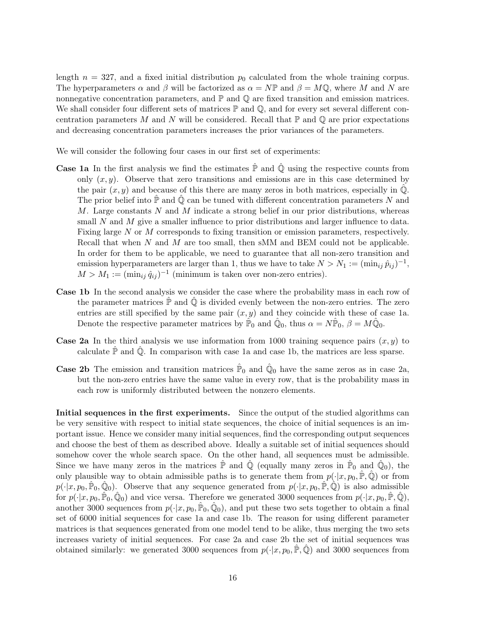length  $n = 327$ , and a fixed initial distribution  $p<sub>0</sub>$  calculated from the whole training corpus. The hyperparameters  $\alpha$  and  $\beta$  will be factorized as  $\alpha = N\mathbb{P}$  and  $\beta = M\mathbb{Q}$ , where M and N are nonnegative concentration parameters, and  $\mathbb P$  and  $\mathbb Q$  are fixed transition and emission matrices. We shall consider four different sets of matrices  $\mathbb P$  and  $\mathbb Q$ , and for every set several different concentration parameters M and N will be considered. Recall that  $\mathbb P$  and  $\mathbb Q$  are prior expectations and decreasing concentration parameters increases the prior variances of the parameters.

We will consider the following four cases in our first set of experiments:

- **Case 1a** In the first analysis we find the estimates  $\hat{P}$  and  $\hat{Q}$  using the respective counts from only  $(x, y)$ . Observe that zero transitions and emissions are in this case determined by the pair  $(x, y)$  and because of this there are many zeros in both matrices, especially in  $\mathbb{Q}$ . The prior belief into  $\mathbb P$  and  $\mathbb Q$  can be tuned with different concentration parameters N and M. Large constants N and M indicate a strong belief in our prior distributions, whereas small  $N$  and  $M$  give a smaller influence to prior distributions and larger influence to data. Fixing large N or M corresponds to fixing transition or emission parameters, respectively. Recall that when N and M are too small, then sMM and BEM could not be applicable. In order for them to be applicable, we need to guarantee that all non-zero transition and emission hyperparameters are larger than 1, thus we have to take  $N > N_1 := (\min_{ij} \hat{p}_{ij})^{-1}$ ,  $M > M_1 := (\min_{ij} \hat{q}_{ij})^{-1}$  (minimum is taken over non-zero entries).
- Case 1b In the second analysis we consider the case where the probability mass in each row of the parameter matrices  $\mathbb P$  and  $\mathbb Q$  is divided evenly between the non-zero entries. The zero entries are still specified by the same pair  $(x, y)$  and they coincide with these of case 1a. Denote the respective parameter matrices by  $\hat{P}_0$  and  $\hat{Q}_0$ , thus  $\alpha = N\hat{P}_0$ ,  $\beta = M\hat{Q}_0$ .
- **Case 2a** In the third analysis we use information from 1000 training sequence pairs  $(x, y)$  to calculate  $\hat{\mathbb{P}}$  and  $\hat{\mathbb{Q}}$ . In comparison with case 1a and case 1b, the matrices are less sparse.
- **Case 2b** The emission and transition matrices  $\hat{\mathbb{P}}_0$  and  $\hat{\mathbb{Q}}_0$  have the same zeros as in case 2a, but the non-zero entries have the same value in every row, that is the probability mass in each row is uniformly distributed between the nonzero elements.

Initial sequences in the first experiments. Since the output of the studied algorithms can be very sensitive with respect to initial state sequences, the choice of initial sequences is an important issue. Hence we consider many initial sequences, find the corresponding output sequences and choose the best of them as described above. Ideally a suitable set of initial sequences should somehow cover the whole search space. On the other hand, all sequences must be admissible. Since we have many zeros in the matrices  $\hat{\mathbb{P}}$  and  $\hat{\mathbb{Q}}$  (equally many zeros in  $\hat{\mathbb{P}}_0$  and  $\hat{\mathbb{Q}}_0$ ), the only plausible way to obtain admissible paths is to generate them from  $p(\cdot|x, p_0, \hat{P}, \hat{Q})$  or from  $p(\cdot|x, p_0, \hat{P}_0, \hat{Q}_0)$ . Observe that any sequence generated from  $p(\cdot|x, p_0, \hat{P}, \hat{Q})$  is also admissible for  $p(\cdot|x, p_0, \hat{\mathbb{P}}_0, \hat{\mathbb{Q}}_0)$  and vice versa. Therefore we generated 3000 sequences from  $p(\cdot|x, p_0, \hat{\mathbb{P}}, \hat{\mathbb{Q}})$ , another 3000 sequences from  $p(\cdot|x, p_0, \hat{P}_0, \hat{Q}_0)$ , and put these two sets together to obtain a final set of 6000 initial sequences for case 1a and case 1b. The reason for using different parameter matrices is that sequences generated from one model tend to be alike, thus merging the two sets increases variety of initial sequences. For case 2a and case 2b the set of initial sequences was obtained similarly: we generated 3000 sequences from  $p(\cdot|x, p_0, \hat{P}, \hat{Q})$  and 3000 sequences from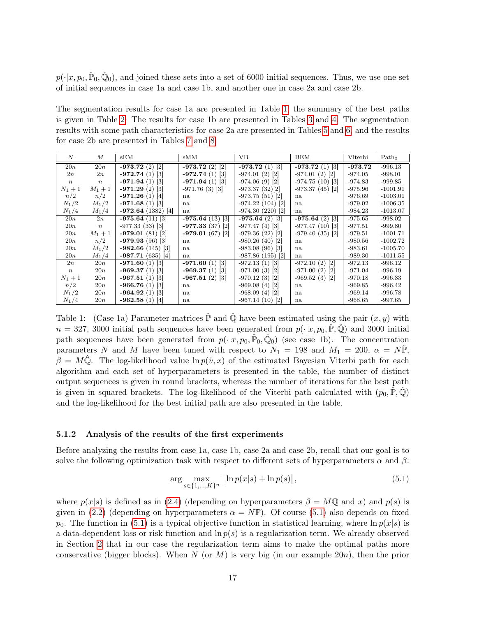$p(\cdot|x, p_0, \hat{P}_0, \hat{Q}_0)$ , and joined these sets into a set of 6000 initial sequences. Thus, we use one set of initial sequences in case 1a and case 1b, and another one in case 2a and case 2b.

The segmentation results for case 1a are presented in Table [1,](#page-16-0) the summary of the best paths is given in Table [2.](#page-17-0) The results for case 1b are presented in Tables [3](#page-17-1) and [4.](#page-18-0) The segmentation results with some path characteristics for case 2a are presented in Tables [5](#page-18-1) and [6,](#page-19-0) and the results for case 2b are presented in Tables [7](#page-19-1) and [8.](#page-20-0)

| $\overline{N}$   | М                | sEM                            | sMM               | VB                            | BEM               | Viterbi   | Path <sub>0</sub> |
|------------------|------------------|--------------------------------|-------------------|-------------------------------|-------------------|-----------|-------------------|
| 20n              | 20n              | $-973.72(2)$ [2]               | $-973.72(2)[2]$   | $-973.72(1)$ [3]              | $-973.72(1)$ [3]  | $-973.72$ | $-996.13$         |
| 2n               | 2n               | $-972.74(1)$ [3]               | $-972.74(1)$ [3]  | $-974.01(2)$ [2]              | $-974.01(2)$ [2]  | $-974.05$ | $-998.01$         |
| $\boldsymbol{n}$ | $\, n$           | $-971.94(1)$ [3]               | $-971.94(1)$ [3]  | $-974.06(9)$ [2]              | $-974.75(10)$ [3] | $-974.83$ | $-999.85$         |
| $N_1 + 1$        | $M_1 + 1$        | $-971.29(2)$ [3]               | $-971.76(3)$ [3]  | $-973.37(32)[2]$              | $-973.37(45)$ [2] | $-975.96$ | $-1001.91$        |
| n/2              | n/2              | $-971.26(1)$ [4]               | na                | $-973.75(51)[2]$              | na                | $-976.69$ | $-1003.01$        |
| $N_1/2$          | $M_1/2$          | $-971.68(1)$ [3]               | na                | $-974.22(104)$ [2]            | na                | $-979.02$ | $-1006.35$        |
| $N_1/4$          | $M_1/4$          | $-972.64(1382)$ <sup>[4]</sup> | na                | $-974.30(220)$ [2]            | na                | -984.23   | $-1013.07$        |
| 20n              | 2n               | $-975.64(11)$ [3]              | $-975.64(13)$ [3] | $-975.64(2)$ [3]              | $-975.64(2)$ [3]  | $-975.65$ | $-998.02$         |
| 20n              | $\boldsymbol{n}$ | $-977.33(33)$ [3]              | $-977.33(37)$ [2] | $-977.47(4)$ [3]              | $-977.47(10)$ [3] | $-977.51$ | $-999.80$         |
| 20n              | $M_1 + 1$        | $-979.01(81)$ [2]              | $-979.01(67)$ [2] | $-979.36(22)$ [2]             | $-979.40(35)$ [2] | $-979.51$ | $-1001.71$        |
| 20n              | n/2              | $-979.93(96)$ [3]              | na                | $-980.26(40)$ [2]             | na                | $-980.56$ | $-1002.72$        |
| 20n              | $M_1/2$          | $-982.66(145)$ [3]             | na                | $-983.08(96)$ [3]             | na                | $-983.61$ | $-1005.70$        |
| 20n              | $M_1/4$          | $-987.71(635)$ [4]             | na                | $-987.86(195)$ <sup>[2]</sup> | na                | $-989.30$ | $-1011.55$        |
| 2n               | 20n              | $-971.60(1)$ [3]               | $-971.60(1)$ [3]  | $-972.13(1)$ [3]              | $-972.10(2)$ [2]  | $-972.13$ | $-996.12$         |
| $\boldsymbol{n}$ | 20n              | $-969.37(1)$ [3]               | $-969.37(1)$ [3]  | $-971.00(3)$ [2]              | $-971.00(2)$ [2]  | $-971.04$ | $-996.19$         |
| $N_1 + 1$        | 20n              | $-967.51(1)$ [3]               | $-967.51(2)$ [3]  | $-970.12(3)$ [2]              | $-969.52(3)$ [2]  | $-970.18$ | $-996.33$         |
| n/2              | 20n              | $-966.76(1)$ [3]               | na                | $-969.08(4)$ [2]              | na                | $-969.85$ | $-996.42$         |
| $N_1/2$          | 20n              | $-964.92(1)$ [3]               | na                | $-968.09(4)$ [2]              | na                | $-969.14$ | $-996.78$         |
| $N_1/4$          | 20n              | $-962.58(1)$ [4]               | na                | $-967.14(10)$ [2]             | na                | $-968.65$ | $-997.65$         |

<span id="page-16-0"></span>Table 1: (Case 1a) Parameter matrices  $\hat{P}$  and  $\hat{Q}$  have been estimated using the pair  $(x, y)$  with  $n = 327, 3000$  initial path sequences have been generated from  $p(\cdot|x, p_0, \mathbb{P}, \mathbb{Q})$  and 3000 initial path sequences have been generated from  $p(\cdot|x, p_0, \hat{P}_0, \hat{Q}_0)$  (see case 1b). The concentration parameters N and M have been tuned with respect to  $N_1 = 198$  and  $M_1 = 200$ ,  $\alpha = N\mathbb{P}$ ,  $\beta = M\hat{\mathbb{Q}}$ . The log-likelihood value  $\ln p(\hat{v}, x)$  of the estimated Bayesian Viterbi path for each algorithm and each set of hyperparameters is presented in the table, the number of distinct output sequences is given in round brackets, whereas the number of iterations for the best path is given in squared brackets. The log-likelihood of the Viterbi path calculated with  $(p_0, \mathbb{P}, \mathbb{Q})$ and the log-likelihood for the best initial path are also presented in the table.

#### 5.1.2 Analysis of the results of the first experiments

Before analyzing the results from case 1a, case 1b, case 2a and case 2b, recall that our goal is to solve the following optimization task with respect to different sets of hyperparameters  $\alpha$  and  $\beta$ :

<span id="page-16-1"></span>
$$
\arg\max_{s \in \{1, ..., K\}^n} \left[ \ln p(x|s) + \ln p(s) \right],\tag{5.1}
$$

where  $p(x|s)$  is defined as in [\(2.4\)](#page-7-0) (depending on hyperparameters  $\beta = M\mathbb{Q}$  and x) and  $p(s)$  is given in [\(2.2\)](#page-6-0) (depending on hyperparameters  $\alpha = N\mathbb{P}$ ). Of course [\(5.1\)](#page-16-1) also depends on fixed  $p_0$ . The function in [\(5.1\)](#page-16-1) is a typical objective function in statistical learning, where  $\ln p(x|s)$  is a data-dependent loss or risk function and  $\ln p(s)$  is a regularization term. We already observed in Section [2](#page-4-0) that in our case the regularization term aims to make the optimal paths more conservative (bigger blocks). When N (or M) is very big (in our example 20*n*), then the prior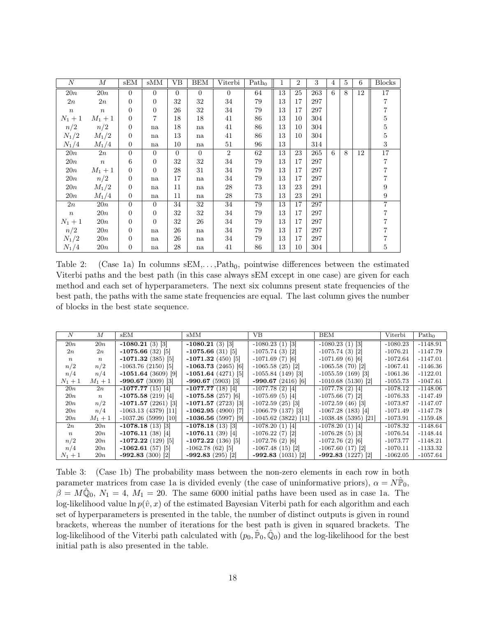| $\boldsymbol{N}$ | М                | sEM              | sMM            | VВ       | BEM            | Viterbi        | Path <sub>0</sub> | 1  | 2  | 3   | $\overline{4}$ | 5 | 6  | <b>Blocks</b>    |
|------------------|------------------|------------------|----------------|----------|----------------|----------------|-------------------|----|----|-----|----------------|---|----|------------------|
| 20n              | 20n              | $\theta$         | $\Omega$       | $\Omega$ | $\Omega$       | $\overline{0}$ | 64                | 13 | 25 | 263 | 6              | 8 | 12 | 17               |
| 2n               | 2n               | $\boldsymbol{0}$ | $\overline{0}$ | 32       | 32             | 34             | 79                | 13 | 17 | 297 |                |   |    | $\overline{7}$   |
| $\,n$            | $\, n$           | $\overline{0}$   | $\overline{0}$ | 26       | 32             | 34             | 79                | 13 | 17 | 297 |                |   |    | $\overline{7}$   |
| $N_1 + 1$        | $M_1 + 1$        | $\overline{0}$   | $\overline{7}$ | 18       | 18             | 41             | 86                | 13 | 10 | 304 |                |   |    | $\bf 5$          |
| n/2              | n/2              | $\boldsymbol{0}$ | na             | 18       | na             | 41             | 86                | 13 | 10 | 304 |                |   |    | $\bf 5$          |
| $N_1/2$          | $M_1/2$          | $\boldsymbol{0}$ | na             | 13       | na             | 41             | 86                | 13 | 10 | 304 |                |   |    | $\mathbf 5$      |
| $N_1/4$          | $M_1/4$          | $\overline{0}$   | na             | 10       | na             | $51\,$         | 96                | 13 |    | 314 |                |   |    | 3                |
| 20n              | 2n               | $\overline{0}$   | $\Omega$       | $\Omega$ | $\overline{0}$ | $\overline{2}$ | 62                | 13 | 23 | 265 | 6              | 8 | 12 | $17\,$           |
| 20n              | $\boldsymbol{n}$ | 6                | $\overline{0}$ | 32       | 32             | 34             | 79                | 13 | 17 | 297 |                |   |    | $\overline{7}$   |
| 20n              | $M_1 + 1$        | $\boldsymbol{0}$ | $\Omega$       | 28       | 31             | 34             | 79                | 13 | 17 | 297 |                |   |    | $\overline{7}$   |
| 20n              | n/2              | $\boldsymbol{0}$ | na             | 17       | na             | 34             | 79                | 13 | 17 | 297 |                |   |    | 7                |
| 20n              | $M_1/2$          | $\boldsymbol{0}$ | na             | 11       | na             | $\rm 28$       | 73                | 13 | 23 | 291 |                |   |    | $\boldsymbol{9}$ |
| 20n              | $M_1/4$          | $\overline{0}$   | na             | 11       | na             | 28             | 73                | 13 | 23 | 291 |                |   |    | $\boldsymbol{9}$ |
| 2n               | 20n              | $\theta$         | $\Omega$       | 34       | 32             | 34             | 79                | 13 | 17 | 297 |                |   |    | $\overline{7}$   |
| $\,n$            | 20n              | $\boldsymbol{0}$ | $\overline{0}$ | 32       | 32             | 34             | 79                | 13 | 17 | 297 |                |   |    | 7                |
| $N_1 + 1$        | 20n              | $\overline{0}$   | $\Omega$       | 32       | 26             | 34             | 79                | 13 | 17 | 297 |                |   |    |                  |
| n/2              | 20n              | $\overline{0}$   | na             | 26       | na             | 34             | 79                | 13 | 17 | 297 |                |   |    | 7                |
| $N_1/2$          | 20n              | $\theta$         | na             | 26       | na             | 34             | 79                | 13 | 17 | 297 |                |   |    |                  |
| $N_1/4$          | 20n              | $\boldsymbol{0}$ | na             | 28       | na             | 41             | 86                | 13 | 10 | 304 |                |   |    | 5                |

<span id="page-17-0"></span>Table 2: (Case 1a) In columns  $sEM, \ldots, Path_0$ , pointwise differences between the estimated Viterbi paths and the best path (in this case always sEM except in one case) are given for each method and each set of hyperparameters. The next six columns present state frequencies of the best path, the paths with the same state frequencies are equal. The last column gives the number of blocks in the best state sequence.

| N                | М                | sEM                    | sMM                  | VВ                   | <b>BEM</b>           | Viterbi    | Path <sub>0</sub> |
|------------------|------------------|------------------------|----------------------|----------------------|----------------------|------------|-------------------|
| 20n              | 20n              | $-1080.21(3)$ [3]      | $-1080.21(3)$ [3]    | $-1080.23(1)$ [3]    | $-1080.23(1)$ [3]    | $-1080.23$ | $-1148.91$        |
| 2n               | 2n               | $-1075.66(32)$ [5]     | $-1075.66(31)$ [5]   | $-1075.74(3)$ [2]    | $-1075.74(3)$ [2]    | $-1076.21$ | $-1147.79$        |
| $\boldsymbol{n}$ | $\boldsymbol{n}$ | $-1071.32(385)$ [5]    | $-1071.32(450)$ [5]  | $-1071.69(7)$ [6]    | $-1071.69(6)$ [6]    | $-1072.64$ | $-1147.01$        |
| n/2              | n/2              | $-1063.76(2150)$ [5]   | $-1063.73(2465)[6]$  | $-1065.58(25)$ [2]   | $-1065.58(70)$ [2]   | $-1067.41$ | $-1146.36$        |
| n/4              | n/4              | $-1051.64(3609)$ [9]   | $-1051.64(4271)$ [5] | $-1055.84(149)$ [3]  | $-1055.59(169)$ [3]  | $-1061.36$ | $-1122.01$        |
| $N_1 + 1$        | $M_1 + 1$        | $-990.67(3009)$ [3]    | $-990.67(5903)$ [3]  | $-990.67(2416)$ [6]  | $-1010.68(5130)[2]$  | $-1055.73$ | $-1047.61$        |
| 20n              | 2n               | $-1077.77(15)$ [4]     | $-1077.77(18)$ [4]   | $-1077.78(2)$ [4]    | $-1077.78(2)$ [4]    | $-1078.12$ | $-1148.06$        |
| 20n              | $\boldsymbol{n}$ | $-1075.58(219)$ [4]    | $-1075.58(257)$ [6]  | $-1075.69(5)$ [4]    | $-1075.66(7)$ [2]    | $-1076.33$ | $-1147.49$        |
| 20n              | n/2              | $-1071.57(2261)$ [3]   | $-1071.57(2723)$ [3] | $-1072.59(25)$ [3]   | $-1072.59(46)$ [3]   | $-1073.87$ | $-1147.07$        |
| 20n              | n/4              | $-1063.13(4379)$ [11]  | $-1062.95(4900)$ [7] | $-1066.79(137)$ [3]  | $-1067.28(183)$ [4]  | $-1071.49$ | $-1147.78$        |
| 20n              | $M_1 + 1$        | $-1037.26$ (5999) [10] | $-1036.56(5997)$ [9] | $-1045.62(3822)[11]$ | $-1038.48(5395)[21]$ | $-1073.91$ | $-1159.48$        |
| 2n               | 20n              | $-1078.18(13)$ [3]     | $-1078.18(13)$ [3]   | $-1078.20(1)$ [4]    | $-1078.20(1)$ [4]    | $-1078.32$ | $-1148.64$        |
| $\boldsymbol{n}$ | 20n              | $-1076.11(38)$ [4]     | $-1076.11(39)$ [4]   | $-1076.22(7)$ [2]    | $-1076.28(5)$ [3]    | $-1076.54$ | $-1148.44$        |
| n/2              | 20n              | $-1072.22(129)$ [5]    | $-1072.22(136)$ [5]  | $-1072.76(2)$ [6]    | $-1072.76(2)$ [6]    | $-1073.77$ | $-1148.21$        |
| n/4              | 20n              | $-1062.61(57)$ [5]     | $-1062.78(62)$ [5]   | $-1067.48(15)$ [2]   | $-1067.60(17)$ [2]   | $-1070.11$ | $-1133.32$        |
| $N_1 + 1$        | 20n              | $-992.83(300)[2]$      | $-992.83(295)[2]$    | $-992.83(1031)[2]$   | $-992.83(1227)[2]$   | $-1062.05$ | $-1057.64$        |

<span id="page-17-1"></span>Table 3: (Case 1b) The probability mass between the non-zero elements in each row in both parameter matrices from case 1a is divided evenly (the case of uninformative priors),  $\alpha = N\hat{\mathbb{P}}_0$ ,  $\beta = M\hat{Q}_0$ ,  $N_1 = 4$ ,  $M_1 = 20$ . The same 6000 initial paths have been used as in case 1a. The log-likelihood value  $\ln p(\hat{v}, x)$  of the estimated Bayesian Viterbi path for each algorithm and each set of hyperparameters is presented in the table, the number of distinct outputs is given in round brackets, whereas the number of iterations for the best path is given in squared brackets. The log-likelihood of the Viterbi path calculated with  $(p_0, \hat{P}_0, \hat{Q}_0)$  and the log-likelihood for the best initial path is also presented in the table.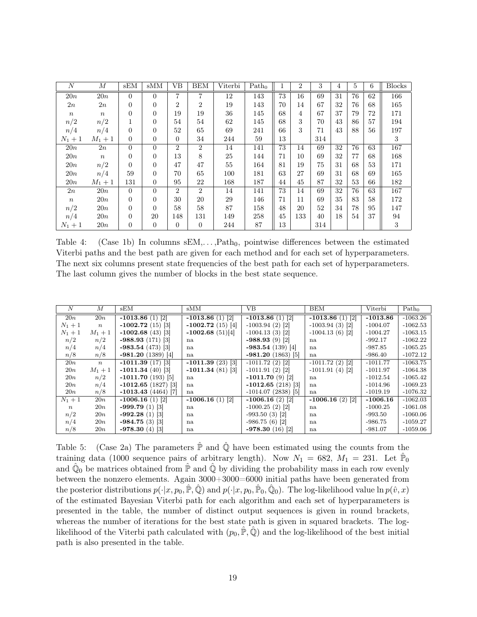| $\overline{N}$   | М                | sEM            | sMM      | VВ             | <b>BEM</b>     | Viterbi | Path <sub>0</sub> |    | $\overline{2}$ | 3   | 4  | $\overline{5}$ | 6  | <b>Blocks</b> |
|------------------|------------------|----------------|----------|----------------|----------------|---------|-------------------|----|----------------|-----|----|----------------|----|---------------|
| 20n              | 20n              | $\Omega$       | $\Omega$ | 7              | 7              | 12      | 143               | 73 | 16             | 69  | 31 | 76             | 62 | 166           |
| 2n               | 2n               | $\theta$       | 0        | $\overline{2}$ | $\overline{2}$ | 19      | 143               | 70 | 14             | 67  | 32 | 76             | 68 | 165           |
| $\,n$            | $\boldsymbol{n}$ | $\Omega$       | 0        | 19             | 19             | 36      | 145               | 68 | 4              | 67  | 37 | 79             | 72 | 171           |
| n/2              | n/2              |                | $\theta$ | 54             | 54             | 62      | 145               | 68 | 3              | 70  | 43 | 86             | 57 | 194           |
| n/4              | n/4              | $\Omega$       | 0        | 52             | 65             | 69      | 241               | 66 | 3              | 71  | 43 | 88             | 56 | 197           |
| $N_1 + 1$        | $M_1 + 1$        | $\Omega$       | 0        | $\Omega$       | 34             | 244     | 59                | 13 |                | 314 |    |                |    | 3             |
| 20n              | 2n               | $\Omega$       | $\Omega$ | $\overline{2}$ | $\overline{2}$ | 14      | 141               | 73 | 14             | 69  | 32 | 76             | 63 | 167           |
| 20n              | $\boldsymbol{n}$ | $\Omega$       | 0        | 13             | 8              | 25      | 144               | 71 | 10             | 69  | 32 | 77             | 68 | 168           |
| 20n              | n/2              | $\Omega$       | 0        | 47             | 47             | 55      | 164               | 81 | 19             | 75  | 31 | 68             | 53 | 171           |
| 20n              | n/4              | 59             | 0        | 70             | 65             | 100     | 181               | 63 | 27             | 69  | 31 | 68             | 69 | 165           |
| 20n              | $M_1 + 1$        | 131            | 0        | 95             | 22             | 168     | 187               | 44 | 45             | 87  | 32 | 53             | 66 | 182           |
| 2n               | 20n              | $\Omega$       | $\Omega$ | $\overline{2}$ | $\overline{2}$ | 14      | 141               | 73 | 14             | 69  | 32 | 76             | 63 | 167           |
| $\boldsymbol{n}$ | 20n              | $\Omega$       | 0        | 30             | 20             | 29      | 146               | 71 | 11             | 69  | 35 | 83             | 58 | 172           |
| n/2              | 20n              | $\Omega$       | $\Omega$ | 58             | 58             | 87      | 158               | 48 | 20             | 52  | 34 | 78             | 95 | 147           |
| n/4              | 20n              | $\Omega$       | 20       | 148            | 131            | 149     | 258               | 45 | 133            | 40  | 18 | 54             | 37 | 94            |
| $N_1 + 1$        | 20n              | $\overline{0}$ | 0        | 0              | $\overline{0}$ | 244     | 87                | 13 |                | 314 |    |                |    | 3             |

<span id="page-18-0"></span>Table 4: (Case 1b) In columns  $sEM, \ldots, Path_0$ , pointwise differences between the estimated Viterbi paths and the best path are given for each method and for each set of hyperparameters. The next six columns present state frequencies of the best path for each set of hyperparameters. The last column gives the number of blocks in the best state sequence.

| N                | М                | sEM                  | sMM                | VВ                   | <b>BEM</b>        | Viterbi    | Path <sub>0</sub> |
|------------------|------------------|----------------------|--------------------|----------------------|-------------------|------------|-------------------|
| 20n              | 20n              | $-1013.86(1)$ [2]    | $-1013.86(1)$ [2]  | $-1013.86(1)$ [2]    | $-1013.86(1)$ [2] | $-1013.86$ | $-1063.26$        |
| $N_1 + 1$        | $\boldsymbol{n}$ | $-1002.72(15)$ [3]   | $-1002.72(15)$ [4] | $-1003.94(2)$ [2]    | $-1003.94(3)$ [2] | $-1004.07$ | $-1062.53$        |
| $N_1 + 1$        | $M_1 + 1$        | $-1002.68(43)$ [3]   | $-1002.68(51)[4]$  | $-1004.13(3)$ [2]    | $-1004.13(6)$ [2] | $-1004.27$ | $-1063.15$        |
| n/2              | n/2              | $-988.93(171)[3]$    | na                 | $-988.93(9)$ [2]     | na                | $-992.17$  | $-1062.22$        |
| n/4              | n/4              | $-983.54(473)$ [3]   | na                 | $-983.54(139)$ [4]   | na                | $-987.85$  | $-1065.25$        |
| n/8              | n/8              | $-981.20(1389)$ [4]  | na                 | $-981.20(1863)[5]$   | na                | $-986.40$  | $-1072.12$        |
| 20n              | $\boldsymbol{n}$ | $-1011.39(17)$ [3]   | $-1011.39(23)$ [3] | $-1011.72(2)$ [2]    | $-1011.72(2)$ [2] | $-1011.77$ | $-1063.75$        |
| 20n              | $M_1 + 1$        | $-1011.34(40)$ [3]   | $-1011.34(81)$ [3] | $-1011.91(2)$ [2]    | $-1011.91(4)$ [2] | $-1011.97$ | $-1064.38$        |
| 20n              | n/2              | $-1011.70(193)$ [5]  | na                 | $-1011.70(9)$ [2]    | na                | $-1012.54$ | $-1065.42$        |
| 20n              | n/4              | $-1012.65(1827)$ [3] | na                 | $-1012.65(218)$ [3]  | na                | $-1014.96$ | $-1069.23$        |
| 20n              | n/8              | $-1013.43(4464)$ [7] | na                 | $-1014.07(2838)$ [5] | na                | $-1019.19$ | $-1076.32$        |
| $N_1 + 1$        | 20n              | $-1006.16(1)$ [2]    | $-1006.16(1)$ [2]  | $-1006.16(2)$ [2]    | $-1006.16(2)$ [2] | $-1006.16$ | $-1062.03$        |
| $\boldsymbol{n}$ | 20n              | $-999.79(1)$ [3]     | na                 | $-1000.25(2)$ [2]    | na                | $-1000.25$ | $-1061.08$        |
| n/2              | 20n              | $-992.28(1)$ [3]     | na                 | $-993.50(3)$ [2]     | na                | $-993.50$  | $-1060.06$        |
| n/4              | 20n              | $-984.75(3)$ [3]     | na                 | $-986.75(6)$ [2]     | na                | $-986.75$  | $-1059.27$        |
| n/8              | 20n              | $-978.30(4)$ [3]     | na                 | $-978.30(16)$ [2]    | na                | $-981.07$  | $-1059.06$        |

<span id="page-18-1"></span>Table 5: (Case 2a) The parameters  $\hat{P}$  and  $\hat{Q}$  have been estimated using the counts from the training data (1000 sequence pairs of arbitrary length). Now  $N_1 = 682, M_1 = 231$ . Let  $\hat{P}_0$ and  $\hat{\mathbb{Q}}_0$  be matrices obtained from  $\hat{\mathbb{P}}$  and  $\hat{\mathbb{Q}}$  by dividing the probability mass in each row evenly between the nonzero elements. Again 3000+3000=6000 initial paths have been generated from the posterior distributions  $p(\cdot|x, p_0, \hat{\mathbb{P}}, \hat{\mathbb{Q}})$  and  $p(\cdot|x, p_0, \hat{\mathbb{P}}_0, \hat{\mathbb{Q}}_0)$ . The log-likelihood value  $\ln p(\hat{v}, x)$ of the estimated Bayesian Viterbi path for each algorithm and each set of hyperparameters is presented in the table, the number of distinct output sequences is given in round brackets, whereas the number of iterations for the best state path is given in squared brackets. The loglikelihood of the Viterbi path calculated with  $(p_0, \hat{P}, \hat{Q})$  and the log-likelihood of the best initial path is also presented in the table.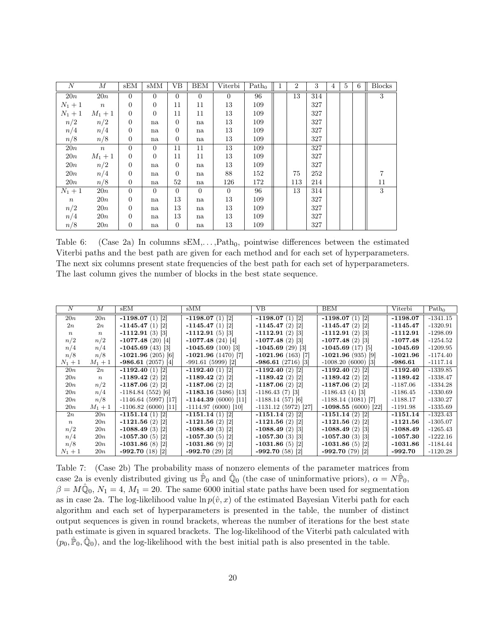| $\boldsymbol{N}$ | $\boldsymbol{M}$ | sEM            | sMM      | <b>VB</b> | <b>BEM</b> | Viterbi        | Path <sub>0</sub> | $\overline{2}$ | 3   | $\overline{4}$ | $5^{\circ}$ | 6 | <b>Blocks</b> |
|------------------|------------------|----------------|----------|-----------|------------|----------------|-------------------|----------------|-----|----------------|-------------|---|---------------|
| 20n              | 20n              | $\Omega$       | $\Omega$ | $\Omega$  | $\Omega$   | $\overline{0}$ | 96                | 13             | 314 |                |             |   | 3             |
| $N_1 + 1$        | $\overline{n}$   | $\overline{0}$ | $\Omega$ | 11        | 11         | 13             | 109               |                | 327 |                |             |   |               |
| $N_1+1$          | $M_1 + 1$        | $\overline{0}$ | $\Omega$ | 11        | 11         | 13             | 109               |                | 327 |                |             |   |               |
| n/2              | n/2              | $\overline{0}$ | na       | $\Omega$  | na         | 13             | 109               |                | 327 |                |             |   |               |
| n/4              | n/4              | $\overline{0}$ | na       | $\Omega$  | na         | 13             | 109               |                | 327 |                |             |   |               |
| n/8              | n/8              | $\overline{0}$ | na       | $\Omega$  | na         | 13             | 109               |                | 327 |                |             |   |               |
| 20n              | $\boldsymbol{n}$ | $\Omega$       | $\Omega$ | 11        | 11         | 13             | 109               |                | 327 |                |             |   |               |
| 20n              | $M_1 + 1$        | $\overline{0}$ | $\Omega$ | 11        | 11         | 13             | 109               |                | 327 |                |             |   |               |
| 20n              | n/2              | $\overline{0}$ | na       | $\Omega$  | na         | 13             | 109               |                | 327 |                |             |   |               |
| 20n              | n/4              | $\overline{0}$ | na       | $\Omega$  | na         | 88             | 152               | 75             | 252 |                |             |   |               |
| 20n              | n/8              | $\overline{0}$ | na       | 52        | na         | 126            | 172               | 113            | 214 |                |             |   | 11            |
| $N_1 + 1$        | 20n              | $\overline{0}$ | $\theta$ | $\Omega$  | $\Omega$   | $\overline{0}$ | 96                | 13             | 314 |                |             |   | 3             |
| $\,n$            | 20n              | $\overline{0}$ | na       | 13        | na         | 13             | 109               |                | 327 |                |             |   |               |
| n/2              | 20n              | $\overline{0}$ | na       | 13        | na         | 13             | 109               |                | 327 |                |             |   |               |
| n/4              | 20n              | $\Omega$       | na       | 13        | na         | 13             | 109               |                | 327 |                |             |   |               |
| n/8              | 20n              | $\overline{0}$ | na       | $\Omega$  | na         | 13             | 109               |                | 327 |                |             |   |               |

<span id="page-19-0"></span>Table 6: (Case 2a) In columns  $sEM, \ldots, Path_0$ , pointwise differences between the estimated Viterbi paths and the best path are given for each method and for each set of hyperparameters. The next six columns present state frequencies of the best path for each set of hyperparameters. The last column gives the number of blocks in the best state sequence.

| N                | M                | sEM                   | sMM                            | VВ                   | <b>BEM</b>           | Viterbi    | Path <sub>0</sub> |
|------------------|------------------|-----------------------|--------------------------------|----------------------|----------------------|------------|-------------------|
| 20n              | 20n              | $-1198.07(1)$ [2]     | $-1198.07(1)$ [2]              | $-1198.07(1)$ [2]    | $-1198.07(1)$ [2]    | $-1198.07$ | $-1341.15$        |
| 2n               | 2n               | $-1145.47(1)$ [2]     | $-1145.47(1)$ [2]              | $-1145.47(2)$ [2]    | $-1145.47(2)$ [2]    | $-1145.47$ | $-1320.91$        |
| $\boldsymbol{n}$ | $\boldsymbol{n}$ | $-1112.91(3)$ [3]     | $-1112.91(5)$ [3]              | $-1112.91(2)$ [3]    | $-1112.91(2)$ [3]    | $-1112.91$ | $-1298.09$        |
| n/2              | n/2              | $-1077.48(20)$ [4]    | $-1077.48(24)$ [4]             | $-1077.48(2)$ [3]    | $-1077.48(2)$ [3]    | $-1077.48$ | $-1254.52$        |
| n/4              | n/4              | $-1045.69(43)$  3     | $-1045.69(100)$ [3]            | $-1045.69(29)$ 3     | $-1045.69(17)$  5    | $-1045.69$ | $-1209.95$        |
| n/8              | n/8              | $-1021.96(205)$ [6]   | $-1021.96(1470)$ [7]           | $-1021.96(163)$ [7]  | $-1021.96(935)$ [9]  | $-1021.96$ | $-1174.40$        |
| $N_1 + 1$        | $M_1 + 1$        | $-986.61(2057)$ [4]   | $-991.61(5999)$ <sup>[2]</sup> | $-986.61(2716)$ [3]  | $-1008.20(6000)$ [3] | $-986.61$  | $-1117.14$        |
| 20n              | 2n               | $-1192.40(1)$ [2]     | $-1192.40(1)$ [2]              | $-1192.40(2)$ [2]    | $-1192.40(2)$ [2]    | $-1192.40$ | $-1339.85$        |
| 20n              | $\boldsymbol{n}$ | $-1189.42(2)$ [2]     | $-1189.42(2)$ [2]              | $-1189.42(2)$ [2]    | $-1189.42(2)$ [2]    | $-1189.42$ | $-1338.47$        |
| 20n              | n/2              | $-1187.06(2)$ [2]     | $-1187.06(2)$ [2]              | $-1187.06(2)$ [2]    | $-1187.06(2)$ [2]    | $-1187.06$ | $-1334.28$        |
| 20n              | n/4              | $-1184.84(552)[6]$    | $-1183.16(3486)[13]$           | $-1186.43(7)$ [3]    | $-1186.43(4)$ [3]    | $-1186.45$ | $-1330.69$        |
| 20n              | n/8              | $-1146.64(5997)$ [17] | $-1144.39(6000)[11]$           | $-1188.14(57)$ [6]   | $-1188.14(1081)$ [7] | $-1188.17$ | $-1330.27$        |
| 20n              | $M_1 + 1$        | $-1106.82(6000)[11]$  | $-1114.97(6000)[10]$           | $-1131.12(5972)[27]$ | $-1098.55(6000)[22]$ | $-1191.98$ | $-1335.69$        |
| 2n               | 20n              | $-1151.14(1)$ [2]     | $-1151.14(1)$ [2]              | $-1151.14(2)$ [2]    | $-1151.14(2)$ [2]    | $-1151.14$ | $-1323.43$        |
| $\boldsymbol{n}$ | 20n              | $-1121.56(2)$ [2]     | $-1121.56(2)$ [2]              | $-1121.56(2)$ [2]    | $-1121.56(2)$ [2]    | $-1121.56$ | $-1305.07$        |
| n/2              | 20n              | $-1088.49(3)$ [2]     | $-1088.49(3)$ [2]              | $-1088.49(2)$ [3]    | $-1088.49(2)$ [3]    | $-1088.49$ | $-1265.43$        |
| n/4              | 20n              | $-1057.30(5)$ [2]     | $-1057.30(5)$ [2]              | $-1057.30(3)$ [3]    | $-1057.30(3)$ [3]    | $-1057.30$ | $-1222.16$        |
| n/8              | 20n              | $-1031.86(8)$ [2]     | $-1031.86(9)$ [2]              | $-1031.86(5)$ [2]    | $-1031.86(5)$ [2]    | $-1031.86$ | $-1184.44$        |
| $N_1 + 1$        | 20n              | $-992.70(18)$ [2]     | $-992.70(29)$ [2]              | $-992.70(58)$ [2]    | $-992.70(79)$ [2]    | $-992.70$  | $-1120.28$        |

<span id="page-19-1"></span>Table 7: (Case 2b) The probability mass of nonzero elements of the parameter matrices from case 2a is evenly distributed giving us  $\hat{P}_0$  and  $\hat{Q}_0$  (the case of uninformative priors),  $\alpha = N\hat{P}_0$ ,  $\beta = M\hat{Q}_0, N_1 = 4, M_1 = 20$ . The same 6000 initial state paths have been used for segmentation as in case 2a. The log-likelihood value  $\ln p(\hat{v}, x)$  of the estimated Bayesian Viterbi path for each algorithm and each set of hyperparameters is presented in the table, the number of distinct output sequences is given in round brackets, whereas the number of iterations for the best state path estimate is given in squared brackets. The log-likelihood of the Viterbi path calculated with  $(p_0, \hat{P}_0, \hat{Q}_0)$ , and the log-likelihood with the best initial path is also presented in the table.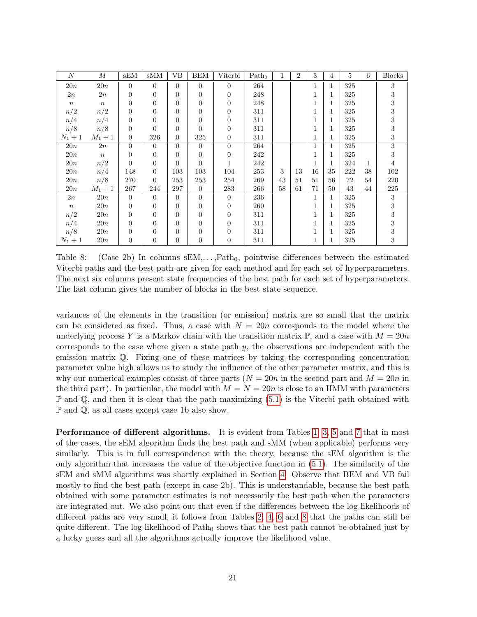| $\cal N$  | $\boldsymbol{M}$ | sEM              | sMM            | VВ             | <b>BEM</b>     | Viterbi          | Path <sub>0</sub> | 1  | 2  | 3  | 4            | 5   | 6  | <b>Blocks</b>           |
|-----------|------------------|------------------|----------------|----------------|----------------|------------------|-------------------|----|----|----|--------------|-----|----|-------------------------|
| 20n       | 20n              | $\overline{0}$   | $\overline{0}$ | $\Omega$       | $\overline{0}$ | $\overline{0}$   | 264               |    |    | 1  | $\mathbf{1}$ | 325 |    | $\overline{3}$          |
| 2n        | 2n               | 0                | 0              | $\overline{0}$ | $\overline{0}$ | $\overline{0}$   | 248               |    |    | 1  | 1            | 325 |    | $\,3$                   |
| $\,n$     | $\boldsymbol{n}$ | 0                | 0              | 0              | $\overline{0}$ | $\overline{0}$   | 248               |    |    |    | 1            | 325 |    | $\,3$                   |
| n/2       | n/2              | $\overline{0}$   | 0              | 0              | $\overline{0}$ | $\overline{0}$   | 311               |    |    |    | $\mathbf{1}$ | 325 |    | $\overline{\mathbf{3}}$ |
| n/4       | n/4              | $\overline{0}$   | 0              | $\Omega$       | $\Omega$       | $\overline{0}$   | 311               |    |    |    | $\mathbf{1}$ | 325 |    | $\,3$                   |
| n/8       | n/8              | 0                | 0              | 0              | $\Omega$       | $\overline{0}$   | 311               |    |    |    | 1            | 325 |    | $\,3$                   |
| $N_1 + 1$ | $M_1+1$          | $\boldsymbol{0}$ | 326            | $\overline{0}$ | 325            | $\overline{0}$   | 311               |    |    | 1  | 1            | 325 |    | $\,3$                   |
| 20n       | 2n               | $\overline{0}$   | $\overline{0}$ | $\Omega$       | $\Omega$       | $\overline{0}$   | 264               |    |    | 1  | $\mathbf{1}$ | 325 |    | $\overline{\bf 3}$      |
| 20n       | $\boldsymbol{n}$ | 0                | 0              | 0              | $\overline{0}$ | $\overline{0}$   | 242               |    |    |    | 1            | 325 |    | $\,3$                   |
| 20n       | n/2              | $\Omega$         | 0              | $\Omega$       | $\Omega$       | 1                | 242               |    |    |    | $\mathbf{1}$ | 324 | 1  | $\,4$                   |
| 20n       | n/4              | 148              | $\overline{0}$ | 103            | 103            | 104              | 253               | 3  | 13 | 16 | 35           | 222 | 38 | 102                     |
| 20n       | n/8              | 270              | 0              | 253            | 253            | 254              | 269               | 43 | 51 | 51 | 56           | 72  | 54 | 220                     |
| 20n       | $M_1+1$          | 267              | 244            | 297            | $\Omega$       | 283              | 266               | 58 | 61 | 71 | 50           | 43  | 44 | 225                     |
| 2n        | 20n              | $\Omega$         | $\Omega$       | $\Omega$       | $\Omega$       | $\Omega$         | 236               |    |    | 1  | $\mathbf{1}$ | 325 |    | 3                       |
| $\,n$     | 20n              | 0                | 0              | 0              | $\overline{0}$ | $\boldsymbol{0}$ | 260               |    |    |    | 1            | 325 |    | $\,3$                   |
| n/2       | 20n              | $\overline{0}$   | 0              | 0              | $\overline{0}$ | $\overline{0}$   | 311               |    |    |    | 1            | 325 |    | $\,3$                   |
| n/4       | 20n              | 0                | $\Omega$       | $\Omega$       | $\Omega$       | $\overline{0}$   | 311               |    |    |    | 1            | 325 |    | $\,3$                   |
| n/8       | 20n              | 0                | 0              | 0              | $\overline{0}$ | $\overline{0}$   | 311               |    |    |    | $\mathbf{1}$ | 325 |    | $\,3$                   |
| $N_1 + 1$ | 20n              | $\boldsymbol{0}$ | 0              | $\overline{0}$ | $\overline{0}$ | $\theta$         | 311               |    |    |    | $\mathbf{1}$ | 325 |    | $\sqrt{3}$              |

<span id="page-20-0"></span>Table 8: (Case 2b) In columns  $sEM, \ldots, Path_0$ , pointwise differences between the estimated Viterbi paths and the best path are given for each method and for each set of hyperparameters. The next six columns present state frequencies of the best path for each set of hyperparameters. The last column gives the number of blocks in the best state sequence.

variances of the elements in the transition (or emission) matrix are so small that the matrix can be considered as fixed. Thus, a case with  $N = 20n$  corresponds to the model where the underlying process Y is a Markov chain with the transition matrix  $\mathbb{P}$ , and a case with  $M = 20n$ corresponds to the case where given a state path  $y$ , the observations are independent with the emission matrix Q. Fixing one of these matrices by taking the corresponding concentration parameter value high allows us to study the influence of the other parameter matrix, and this is why our numerical examples consist of three parts  $(N = 20n$  in the second part and  $M = 20n$  in the third part). In particular, the model with  $M = N = 20n$  is close to an HMM with parameters  $\mathbb P$  and  $\mathbb Q$ , and then it is clear that the path maximizing [\(5.1\)](#page-16-1) is the Viterbi path obtained with P and Q, as all cases except case 1b also show.

Performance of different algorithms. It is evident from Tables [1,](#page-16-0) [3,](#page-17-1) [5](#page-18-1) and [7](#page-19-1) that in most of the cases, the sEM algorithm finds the best path and sMM (when applicable) performs very similarly. This is in full correspondence with the theory, because the sEM algorithm is the only algorithm that increases the value of the objective function in [\(5.1\)](#page-16-1). The similarity of the sEM and sMM algorithms was shortly explained in Section [4.](#page-10-0) Observe that BEM and VB fail mostly to find the best path (except in case 2b). This is understandable, because the best path obtained with some parameter estimates is not necessarily the best path when the parameters are integrated out. We also point out that even if the differences between the log-likelihoods of different paths are very small, it follows from Tables [2,](#page-17-0) [4,](#page-18-0) [6](#page-19-0) and [8](#page-20-0) that the paths can still be quite different. The log-likelihood of  $Path_0$  shows that the best path cannot be obtained just by a lucky guess and all the algorithms actually improve the likelihood value.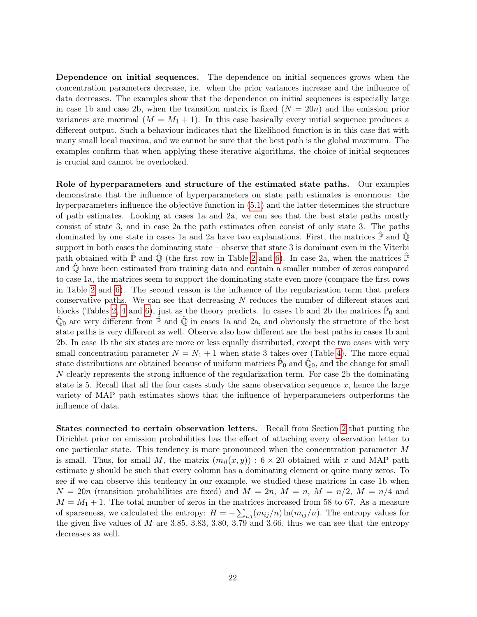Dependence on initial sequences. The dependence on initial sequences grows when the concentration parameters decrease, i.e. when the prior variances increase and the influence of data decreases. The examples show that the dependence on initial sequences is especially large in case 1b and case 2b, when the transition matrix is fixed  $(N = 20n)$  and the emission prior variances are maximal  $(M = M_1 + 1)$ . In this case basically every initial sequence produces a different output. Such a behaviour indicates that the likelihood function is in this case flat with many small local maxima, and we cannot be sure that the best path is the global maximum. The examples confirm that when applying these iterative algorithms, the choice of initial sequences is crucial and cannot be overlooked.

Role of hyperparameters and structure of the estimated state paths. Our examples demonstrate that the influence of hyperparameters on state path estimates is enormous: the hyperparameters influence the objective function in [\(5.1\)](#page-16-1) and the latter determines the structure of path estimates. Looking at cases 1a and 2a, we can see that the best state paths mostly consist of state 3, and in case 2a the path estimates often consist of only state 3. The paths dominated by one state in cases 1a and 2a have two explanations. First, the matrices  $\mathbb{\tilde{P}}$  and  $\mathbb{Q}$ support in both cases the dominating state – observe that state 3 is dominant even in the Viterbi path obtained with  $\mathbb{\tilde{P}}$  and  $\mathbb{\tilde{Q}}$  (the first row in Table [2](#page-17-0) and [6\)](#page-19-0). In case 2a, when the matrices  $\mathbb{\tilde{P}}$ and  $\mathbb Q$  have been estimated from training data and contain a smaller number of zeros compared to case 1a, the matrices seem to support the dominating state even more (compare the first rows in Table [2](#page-17-0) and [6\)](#page-19-0). The second reason is the influence of the regularization term that prefers conservative paths. We can see that decreasing N reduces the number of different states and blocks (Tables [2,](#page-17-0) [4](#page-18-0) and [6\)](#page-19-0), just as the theory predicts. In cases 1b and 2b the matrices  $\hat{P}_0$  and  $\hat{\mathbb{Q}}_0$  are very different from  $\hat{\mathbb{P}}$  and  $\hat{\mathbb{Q}}$  in cases 1a and 2a, and obviously the structure of the best state paths is very different as well. Observe also how different are the best paths in cases 1b and 2b. In case 1b the six states are more or less equally distributed, except the two cases with very small concentration parameter  $N = N_1 + 1$  when state 3 takes over (Table [4\)](#page-18-0). The more equal state distributions are obtained because of uniform matrices  $\mathbb{P}_0$  and  $\hat{\mathbb{Q}}_0$ , and the change for small N clearly represents the strong influence of the regularization term. For case 2b the dominating state is 5. Recall that all the four cases study the same observation sequence  $x$ , hence the large variety of MAP path estimates shows that the influence of hyperparameters outperforms the influence of data.

States connected to certain observation letters. Recall from Section [2](#page-4-0) that putting the Dirichlet prior on emission probabilities has the effect of attaching every observation letter to one particular state. This tendency is more pronounced when the concentration parameter M is small. Thus, for small M, the matrix  $(m_{il}(x, y)) : 6 \times 20$  obtained with x and MAP path estimate y should be such that every column has a dominating element or quite many zeros. To see if we can observe this tendency in our example, we studied these matrices in case 1b when  $N = 20n$  (transition probabilities are fixed) and  $M = 2n$ ,  $M = n$ ,  $M = n/2$ ,  $M = n/4$  and  $M = M_1 + 1$ . The total number of zeros in the matrices increased from 58 to 67. As a measure of sparseness, we calculated the entropy:  $H = -\sum_{i,j} (m_{ij}/n) \ln(m_{ij}/n)$ . The entropy values for the given five values of  $M$  are 3.85, 3.83, 3.80, 3.79 and 3.66, thus we can see that the entropy decreases as well.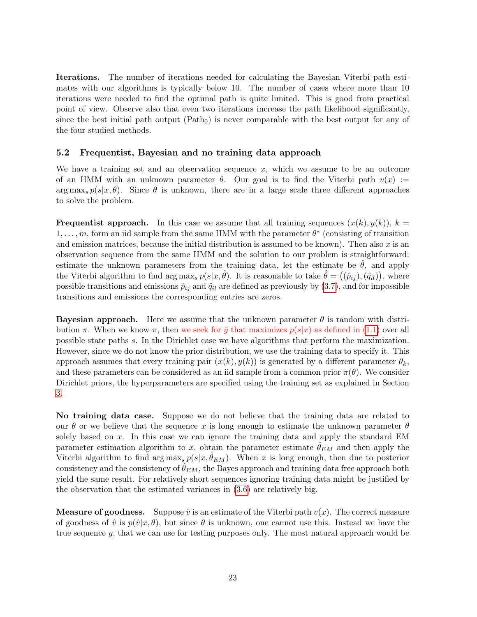Iterations. The number of iterations needed for calculating the Bayesian Viterbi path estimates with our algorithms is typically below 10. The number of cases where more than 10 iterations were needed to find the optimal path is quite limited. This is good from practical point of view. Observe also that even two iterations increase the path likelihood significantly, since the best initial path output  $(Path<sub>0</sub>)$  is never comparable with the best output for any of the four studied methods.

### <span id="page-22-0"></span>5.2 Frequentist, Bayesian and no training data approach

We have a training set and an observation sequence  $x$ , which we assume to be an outcome of an HMM with an unknown parameter  $\theta$ . Our goal is to find the Viterbi path  $v(x) :=$  $\arg \max_{s} p(s|x, \theta)$ . Since  $\theta$  is unknown, there are in a large scale three different approaches to solve the problem.

**Frequentist approach.** In this case we assume that all training sequences  $(x(k), y(k))$ ,  $k =$  $1, \ldots, m$ , form an iid sample from the same HMM with the parameter  $\theta^*$  (consisting of transition and emission matrices, because the initial distribution is assumed to be known). Then also  $x$  is an observation sequence from the same HMM and the solution to our problem is straightforward: estimate the unknown parameters from the training data, let the estimate be  $\ddot{\theta}$ , and apply the Viterbi algorithm to find  $\arg \max_s p(s|x, \hat{\theta})$ . It is reasonable to take  $\hat{\theta} = ((\hat{p}_{ij}), (\hat{q}_{il}))$ , where possible transitions and emissions  $\hat{p}_{ij}$  and  $\hat{q}_{il}$  are defined as previously by [\(3.7\)](#page-10-3), and for impossible transitions and emissions the corresponding entries are zeros.

**Bayesian approach.** Here we assume that the unknown parameter  $\theta$  is random with distribution  $\pi$ . When we know  $\pi$ , then we seek for  $\hat{y}$  that maximizes  $p(s|x)$  as defined in [\(1.1\)](#page-1-0) over all possible state paths s. In the Dirichlet case we have algorithms that perform the maximization. However, since we do not know the prior distribution, we use the training data to specify it. This approach assumes that every training pair  $(x(k), y(k))$  is generated by a different parameter  $\theta_k$ , and these parameters can be considered as an iid sample from a common prior  $\pi(\theta)$ . We consider Dirichlet priors, the hyperparameters are specified using the training set as explained in Section [3.](#page-8-0)

No training data case. Suppose we do not believe that the training data are related to our  $\theta$  or we believe that the sequence x is long enough to estimate the unknown parameter  $\theta$ solely based on  $x$ . In this case we can ignore the training data and apply the standard EM parameter estimation algorithm to x, obtain the parameter estimate  $\hat{\theta}_{EM}$  and then apply the Viterbi algorithm to find  $\arg \max_{s} p(s|x, \theta_{EM})$ . When x is long enough, then due to posterior consistency and the consistency of  $\hat{\theta}_{EM}$ , the Bayes approach and training data free approach both yield the same result. For relatively short sequences ignoring training data might be justified by the observation that the estimated variances in [\(3.6\)](#page-10-1) are relatively big.

**Measure of goodness.** Suppose  $\hat{v}$  is an estimate of the Viterbi path  $v(x)$ . The correct measure of goodness of  $\hat{v}$  is  $p(\hat{v}|x, \theta)$ , but since  $\theta$  is unknown, one cannot use this. Instead we have the true sequence y, that we can use for testing purposes only. The most natural approach would be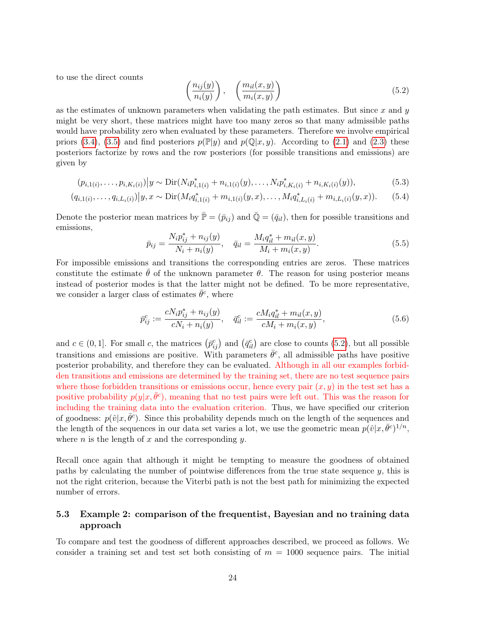to use the direct counts

<span id="page-23-0"></span>
$$
\left(\frac{n_{ij}(y)}{n_i(y)}\right), \quad \left(\frac{m_{il}(x,y)}{m_i(x,y)}\right) \tag{5.2}
$$

as the estimates of unknown parameters when validating the path estimates. But since  $x$  and  $y$ might be very short, these matrices might have too many zeros so that many admissible paths would have probability zero when evaluated by these parameters. Therefore we involve empirical priors [\(3.4\)](#page-9-2), [\(3.5\)](#page-9-3) and find posteriors  $p(\mathbb{P}|y)$  and  $p(\mathbb{Q}|x, y)$ . According to [\(2.1\)](#page-5-0) and [\(2.3\)](#page-7-1) these posteriors factorize by rows and the row posteriors (for possible transitions and emissions) are given by

$$
(p_{i,1(i)},\ldots,p_{i,K_i(i)})|y \sim \text{Dir}(N_i p_{i,1(i)}^* + n_{i,1(i)}(y),\ldots,N_i p_{i,K_i(i)}^* + n_{i,K_i(i)}(y)),
$$
\n
$$
(5.3)
$$

$$
(q_{i,1(i)},\ldots,q_{i,L_i(i)})|y,x \sim \text{Dir}(M_i q_{i,1(i)}^* + m_{i,1(i)}(y,x),\ldots,M_i q_{i,L_i(i)}^* + m_{i,L_i(i)}(y,x)).\tag{5.4}
$$

Denote the posterior mean matrices by  $\bar{P} = (\bar{p}_{ij})$  and  $\bar{Q} = (\bar{q}_{il})$ , then for possible transitions and emissions,

$$
\bar{p}_{ij} = \frac{N_i p_{ij}^* + n_{ij}(y)}{N_i + n_i(y)}, \quad \bar{q}_{il} = \frac{M_i q_{il}^* + m_{il}(x, y)}{M_i + m_i(x, y)}.
$$
\n(5.5)

For impossible emissions and transitions the corresponding entries are zeros. These matrices constitute the estimate  $\theta$  of the unknown parameter  $\theta$ . The reason for using posterior means instead of posterior modes is that the latter might not be defined. To be more representative, we consider a larger class of estimates  $\bar{\theta}^c$ , where

<span id="page-23-1"></span>
$$
\bar{p}_{ij}^c := \frac{cN_i p_{ij}^* + n_{ij}(y)}{cN_i + n_i(y)}, \quad \bar{q}_{il}^c := \frac{cM_i q_{il}^* + m_{il}(x, y)}{cM_i + m_i(x, y)},
$$
\n(5.6)

and  $c \in (0, 1]$ . For small c, the matrices  $(\bar{p}_{ij}^c)$  and  $(\bar{q}_{il}^c)$  are close to counts  $(5.2)$ , but all possible transitions and emissions are positive. With parameters  $\bar{\theta}^c$ , all admissible paths have positive posterior probability, and therefore they can be evaluated. Although in all our examples forbidden transitions and emissions are determined by the training set, there are no test sequence pairs where those forbidden transitions or emissions occur, hence every pair  $(x, y)$  in the test set has a positive probability  $p(y|x, \bar{\theta}^c)$ , meaning that no test pairs were left out. This was the reason for including the training data into the evaluation criterion. Thus, we have specified our criterion of goodness:  $p(\hat{v}|x, \bar{\theta}^c)$ . Since this probability depends much on the length of the sequences and the length of the sequences in our data set varies a lot, we use the geometric mean  $p(\hat{v}|x, \bar{\theta}^c)^{1/n}$ , where  $n$  is the length of  $x$  and the corresponding  $y$ .

Recall once again that although it might be tempting to measure the goodness of obtained paths by calculating the number of pointwise differences from the true state sequence  $y$ , this is not the right criterion, because the Viterbi path is not the best path for minimizing the expected number of errors.

### 5.3 Example 2: comparison of the frequentist, Bayesian and no training data approach

To compare and test the goodness of different approaches described, we proceed as follows. We consider a training set and test set both consisting of  $m = 1000$  sequence pairs. The initial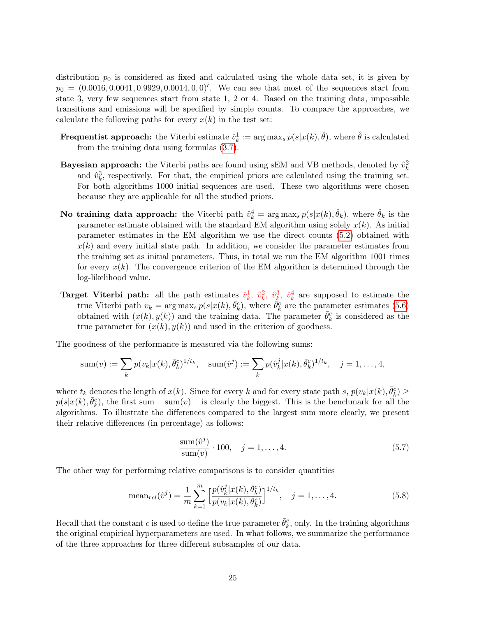distribution  $p_0$  is considered as fixed and calculated using the whole data set, it is given by  $p_0 = (0.0016, 0.0041, 0.9929, 0.0014, 0, 0)'$ . We can see that most of the sequences start from state 3, very few sequences start from state 1, 2 or 4. Based on the training data, impossible transitions and emissions will be specified by simple counts. To compare the approaches, we calculate the following paths for every  $x(k)$  in the test set:

- Frequentist approach: the Viterbi estimate  $\hat{v}_k^1 := \arg \max_s p(s|x(k), \hat{\theta})$ , where  $\hat{\theta}$  is calculated from the training data using formulas [\(3.7\)](#page-10-3).
- **Bayesian approach:** the Viterbi paths are found using sEM and VB methods, denoted by  $\hat{v}_k^2$ and  $\hat{v}_k^3$ , respectively. For that, the empirical priors are calculated using the training set. For both algorithms 1000 initial sequences are used. These two algorithms were chosen because they are applicable for all the studied priors.
- No training data approach: the Viterbi path  $\hat{v}_k^4 = \arg \max_s p(s|x(k), \hat{\theta}_k)$ , where  $\hat{\theta}_k$  is the parameter estimate obtained with the standard EM algorithm using solely  $x(k)$ . As initial parameter estimates in the EM algorithm we use the direct counts [\(5.2\)](#page-23-0) obtained with  $x(k)$  and every initial state path. In addition, we consider the parameter estimates from the training set as initial parameters. Thus, in total we run the EM algorithm 1001 times for every  $x(k)$ . The convergence criterion of the EM algorithm is determined through the log-likelihood value.
- **Target Viterbi path:** all the path estimates  $\hat{v}_k^1$ ,  $\hat{v}_k^2$ ,  $\hat{v}_k^3$ ,  $\hat{v}_k^4$  are supposed to estimate the true Viterbi path  $v_k = \arg \max_s p(s|x(k), \bar{\theta}_k^c)$ , where  $\bar{\theta}_k^c$  are the parameter estimates [\(5.6\)](#page-23-1) obtained with  $(x(k), y(k))$  and the training data. The parameter  $\bar{\theta}_k^c$  is considered as the true parameter for  $(x(k), y(k))$  and used in the criterion of goodness.

The goodness of the performance is measured via the following sums:

sum(v) := 
$$
\sum_{k} p(v_k | x(k), \bar{\theta}_k^c)^{1/t_k}
$$
, sum( $\hat{v}^j$ ) :=  $\sum_{k} p(\hat{v}_k^j | x(k), \bar{\theta}_k^c)^{1/t_k}$ ,  $j = 1, ..., 4$ ,

where  $t_k$  denotes the length of  $x(k)$ . Since for every k and for every state path s,  $p(v_k|x(k), \bar{\theta}_k^c) \ge$  $p(s|x(k), \bar{\theta}_k^c)$ , the first sum – sum(v) – is clearly the biggest. This is the benchmark for all the algorithms. To illustrate the differences compared to the largest sum more clearly, we present their relative differences (in percentage) as follows:

<span id="page-24-0"></span>
$$
\frac{\text{sum}(\hat{v}^j)}{\text{sum}(v)} \cdot 100, \quad j = 1, \dots, 4. \tag{5.7}
$$

The other way for performing relative comparisons is to consider quantities

<span id="page-24-1"></span>mean<sub>rel</sub>(
$$
\hat{v}^j
$$
) =  $\frac{1}{m} \sum_{k=1}^m \left[ \frac{p(\hat{v}_k^j | x(k), \bar{\theta}_k^c)}{p(v_k | x(k), \bar{\theta}_k^c)} \right]^{1/t_k}, \quad j = 1, ..., 4.$  (5.8)

Recall that the constant c is used to define the true parameter  $\bar{\theta}_k^c$ , only. In the training algorithms the original empirical hyperparameters are used. In what follows, we summarize the performance of the three approaches for three different subsamples of our data.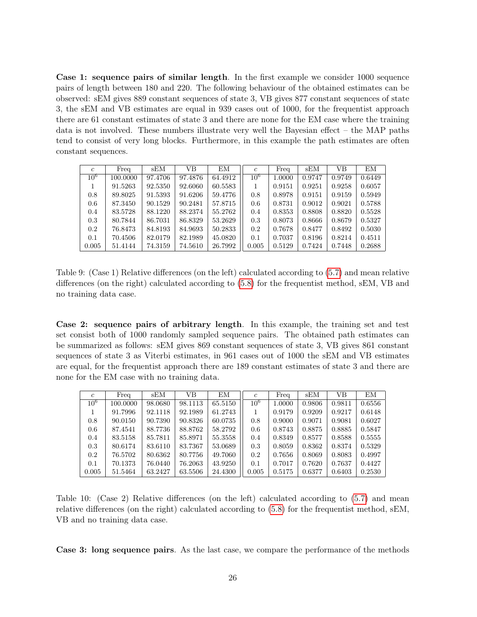Case 1: sequence pairs of similar length. In the first example we consider 1000 sequence pairs of length between 180 and 220. The following behaviour of the obtained estimates can be observed: sEM gives 889 constant sequences of state 3, VB gives 877 constant sequences of state 3, the sEM and VB estimates are equal in 939 cases out of 1000, for the frequentist approach there are 61 constant estimates of state 3 and there are none for the EM case where the training data is not involved. These numbers illustrate very well the Bayesian effect – the MAP paths tend to consist of very long blocks. Furthermore, in this example the path estimates are often constant sequences.

| $\mathfrak{c}$ | Freq     | sEM     | VВ      | ΕM      | $\mathfrak{c}$ | Freq   | sEM    | VB     | EМ     |
|----------------|----------|---------|---------|---------|----------------|--------|--------|--------|--------|
| $10^{6}$       | 100.0000 | 97.4706 | 97.4876 | 64.4912 | $10^{6}$       | 1.0000 | 0.9747 | 0.9749 | 0.6449 |
|                | 91.5263  | 92.5350 | 92.6060 | 60.5583 |                | 0.9151 | 0.9251 | 0.9258 | 0.6057 |
| 0.8            | 89.8025  | 91.5393 | 91.6206 | 59.4776 | 0.8            | 0.8978 | 0.9151 | 0.9159 | 0.5949 |
| 0.6            | 87.3450  | 90.1529 | 90.2481 | 57.8715 | 0.6            | 0.8731 | 0.9012 | 0.9021 | 0.5788 |
| 0.4            | 83.5728  | 88.1220 | 88.2374 | 55.2762 | 0.4            | 0.8353 | 0.8808 | 0.8820 | 0.5528 |
| 0.3            | 80.7844  | 86.7031 | 86.8329 | 53.2629 | 0.3            | 0.8073 | 0.8666 | 0.8679 | 0.5327 |
| 0.2            | 76.8473  | 84.8193 | 84.9693 | 50.2833 | 0.2            | 0.7678 | 0.8477 | 0.8492 | 0.5030 |
| 0.1            | 70.4506  | 82.0179 | 82.1989 | 45.0820 | 0.1            | 0.7037 | 0.8196 | 0.8214 | 0.4511 |
| 0.005          | 51.4144  | 74.3159 | 74.5610 | 26.7992 | 0.005          | 0.5129 | 0.7424 | 0.7448 | 0.2688 |

<span id="page-25-0"></span>Table 9: (Case 1) Relative differences (on the left) calculated according to [\(5.7\)](#page-24-0) and mean relative differences (on the right) calculated according to [\(5.8\)](#page-24-1) for the frequentist method, sEM, VB and no training data case.

Case 2: sequence pairs of arbitrary length. In this example, the training set and test set consist both of 1000 randomly sampled sequence pairs. The obtained path estimates can be summarized as follows: sEM gives 869 constant sequences of state 3, VB gives 861 constant sequences of state 3 as Viterbi estimates, in 961 cases out of 1000 the sEM and VB estimates are equal, for the frequentist approach there are 189 constant estimates of state 3 and there are none for the EM case with no training data.

| $\mathfrak{c}$ | Freq     | sEM     | VВ      | ΕM      | $\epsilon$ | Freq   | sEM    | VВ     | EM     |
|----------------|----------|---------|---------|---------|------------|--------|--------|--------|--------|
| $10^{6}$       | 100.0000 | 98.0680 | 98.1113 | 65.5150 | $10^{6}$   | 1.0000 | 0.9806 | 0.9811 | 0.6556 |
|                | 91.7996  | 92.1118 | 92.1989 | 61.2743 |            | 0.9179 | 0.9209 | 0.9217 | 0.6148 |
| 0.8            | 90.0150  | 90.7390 | 90.8326 | 60.0735 | 0.8        | 0.9000 | 0.9071 | 0.9081 | 0.6027 |
| 0.6            | 87.4541  | 88.7736 | 88.8762 | 58.2792 | 0.6        | 0.8743 | 0.8875 | 0.8885 | 0.5847 |
| 0.4            | 83.5158  | 85.7811 | 85.8971 | 55.3558 | 0.4        | 0.8349 | 0.8577 | 0.8588 | 0.5555 |
| 0.3            | 80.6174  | 83.6110 | 83.7367 | 53.0689 | 0.3        | 0.8059 | 0.8362 | 0.8374 | 0.5329 |
| 0.2            | 76.5702  | 80.6362 | 80.7756 | 49.7060 | 0.2        | 0.7656 | 0.8069 | 0.8083 | 0.4997 |
| 0.1            | 70.1373  | 76.0440 | 76.2063 | 43.9250 | 0.1        | 0.7017 | 0.7620 | 0.7637 | 0.4427 |
| 0.005          | 51.5464  | 63.2427 | 63.5506 | 24.4300 | 0.005      | 0.5175 | 0.6377 | 0.6403 | 0.2530 |

<span id="page-25-1"></span>Table 10: (Case 2) Relative differences (on the left) calculated according to [\(5.7\)](#page-24-0) and mean relative differences (on the right) calculated according to [\(5.8\)](#page-24-1) for the frequentist method, sEM, VB and no training data case.

Case 3: long sequence pairs. As the last case, we compare the performance of the methods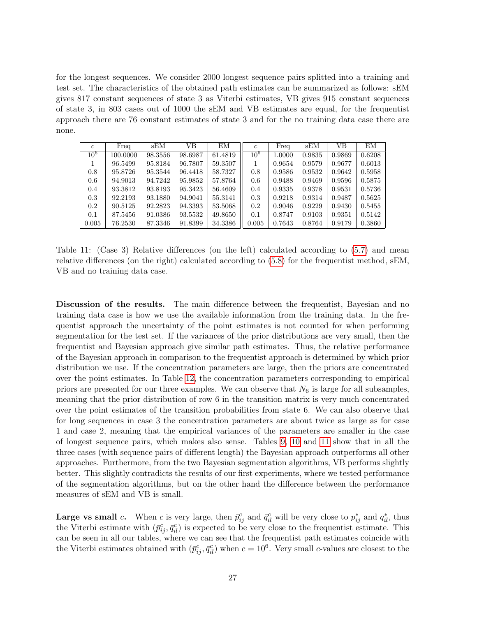for the longest sequences. We consider 2000 longest sequence pairs splitted into a training and test set. The characteristics of the obtained path estimates can be summarized as follows: sEM gives 817 constant sequences of state 3 as Viterbi estimates, VB gives 915 constant sequences of state 3, in 803 cases out of 1000 the sEM and VB estimates are equal, for the frequentist approach there are 76 constant estimates of state 3 and for the no training data case there are none.

| $\mathfrak{c}$  | Freq     | sEM     | VВ      | ΕM      | $\mathfrak{c}$ | Freq   | sEM    | VB     | ΕM     |
|-----------------|----------|---------|---------|---------|----------------|--------|--------|--------|--------|
| 10 <sup>6</sup> | 100.0000 | 98.3556 | 98.6987 | 61.4819 | $10^{6}$       | 1.0000 | 0.9835 | 0.9869 | 0.6208 |
|                 | 96.5499  | 95.8184 | 96.7807 | 59.3507 |                | 0.9654 | 0.9579 | 0.9677 | 0.6013 |
| 0.8             | 95.8726  | 95.3544 | 96.4418 | 58.7327 | 0.8            | 0.9586 | 0.9532 | 0.9642 | 0.5958 |
| 0.6             | 94.9013  | 94.7242 | 95.9852 | 57.8764 | 0.6            | 0.9488 | 0.9469 | 0.9596 | 0.5875 |
| 0.4             | 93.3812  | 93.8193 | 95.3423 | 56.4609 | 0.4            | 0.9335 | 0.9378 | 0.9531 | 0.5736 |
| 0.3             | 92.2193  | 93.1880 | 94.9041 | 55.3141 | 0.3            | 0.9218 | 0.9314 | 0.9487 | 0.5625 |
| 0.2             | 90.5125  | 92.2823 | 94.3393 | 53.5068 | 0.2            | 0.9046 | 0.9229 | 0.9430 | 0.5455 |
| 0.1             | 87.5456  | 91.0386 | 93.5532 | 49.8650 | 0.1            | 0.8747 | 0.9103 | 0.9351 | 0.5142 |
| 0.005           | 76.2530  | 87.3346 | 91.8399 | 34.3386 | 0.005          | 0.7643 | 0.8764 | 0.9179 | 0.3860 |

<span id="page-26-0"></span>Table 11: (Case 3) Relative differences (on the left) calculated according to [\(5.7\)](#page-24-0) and mean relative differences (on the right) calculated according to [\(5.8\)](#page-24-1) for the frequentist method, sEM, VB and no training data case.

Discussion of the results. The main difference between the frequentist, Bayesian and no training data case is how we use the available information from the training data. In the frequentist approach the uncertainty of the point estimates is not counted for when performing segmentation for the test set. If the variances of the prior distributions are very small, then the frequentist and Bayesian approach give similar path estimates. Thus, the relative performance of the Bayesian approach in comparison to the frequentist approach is determined by which prior distribution we use. If the concentration parameters are large, then the priors are concentrated over the point estimates. In Table [12,](#page-27-4) the concentration parameters corresponding to empirical priors are presented for our three examples. We can observe that  $N_6$  is large for all subsamples, meaning that the prior distribution of row 6 in the transition matrix is very much concentrated over the point estimates of the transition probabilities from state 6. We can also observe that for long sequences in case 3 the concentration parameters are about twice as large as for case 1 and case 2, meaning that the empirical variances of the parameters are smaller in the case of longest sequence pairs, which makes also sense. Tables [9,](#page-25-0) [10](#page-25-1) and [11](#page-26-0) show that in all the three cases (with sequence pairs of different length) the Bayesian approach outperforms all other approaches. Furthermore, from the two Bayesian segmentation algorithms, VB performs slightly better. This slightly contradicts the results of our first experiments, where we tested performance of the segmentation algorithms, but on the other hand the difference between the performance measures of sEM and VB is small.

**Large vs small** c. When c is very large, then  $\bar{p}_{ij}^c$  and  $\bar{q}_{il}^c$  will be very close to  $p_{ij}^*$  and  $q_{il}^*$ , thus the Viterbi estimate with  $(\bar{p}_{ij}^c, \bar{q}_{il}^c)$  is expected to be very close to the frequentist estimate. This can be seen in all our tables, where we can see that the frequentist path estimates coincide with the Viterbi estimates obtained with  $(\bar{p}_{ij}^c, \bar{q}_{il}^c)$  when  $c = 10^6$ . Very small c-values are closest to the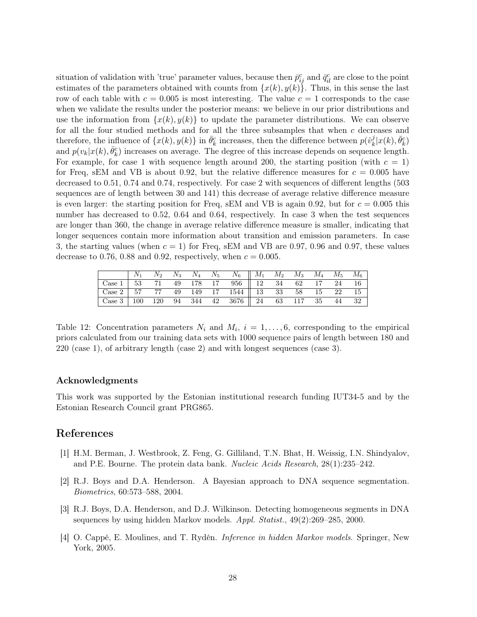situation of validation with 'true' parameter values, because then  $\bar{p}_{ij}^c$  and  $\bar{q}_{il}^c$  are close to the point estimates of the parameters obtained with counts from  $\{x(k), y(k)\}\$ . Thus, in this sense the last row of each table with  $c = 0.005$  is most interesting. The value  $c = 1$  corresponds to the case when we validate the results under the posterior means: we believe in our prior distributions and use the information from  $\{x(k), y(k)\}\)$  to update the parameter distributions. We can observe for all the four studied methods and for all the three subsamples that when c decreases and therefore, the influence of  $\{x(k), y(k)\}$  in  $\bar{\theta}_k^c$  increases, then the difference between  $p(\hat{v}_k^j)$  $\frac{j}{k}|x(k),\bar{\theta}^c_k\rangle$ and  $p(v_k|x(k), \bar{\theta}_k^c)$  increases on average. The degree of this increase depends on sequence length. For example, for case 1 with sequence length around 200, the starting position (with  $c = 1$ ) for Freq, sEM and VB is about 0.92, but the relative difference measures for  $c = 0.005$  have decreased to 0.51, 0.74 and 0.74, respectively. For case 2 with sequences of different lengths (503 sequences are of length between 30 and 141) this decrease of average relative difference measure is even larger: the starting position for Freq, sEM and VB is again 0.92, but for  $c = 0.005$  this number has decreased to 0.52, 0.64 and 0.64, respectively. In case 3 when the test sequences are longer than 360, the change in average relative difference measure is smaller, indicating that longer sequences contain more information about transition and emission parameters. In case 3, the starting values (when  $c = 1$ ) for Freq, sEM and VB are 0.97, 0.96 and 0.97, these values decrease to 0.76, 0.88 and 0.92, respectively, when  $c = 0.005$ .

|  |  |  | $N_1$ $N_2$ $N_3$ $N_4$ $N_5$ $N_6$    $M_1$ $M_2$ $M_3$ $M_4$ $M_5$ $M_6$ |  |  |  |
|--|--|--|----------------------------------------------------------------------------|--|--|--|
|  |  |  |                                                                            |  |  |  |
|  |  |  |                                                                            |  |  |  |
|  |  |  |                                                                            |  |  |  |

<span id="page-27-4"></span>Table 12: Concentration parameters  $N_i$  and  $M_i$ ,  $i = 1, \ldots, 6$ , corresponding to the empirical priors calculated from our training data sets with 1000 sequence pairs of length between 180 and 220 (case 1), of arbitrary length (case 2) and with longest sequences (case 3).

#### Acknowledgments

This work was supported by the Estonian institutional research funding IUT34-5 and by the Estonian Research Council grant PRG865.

### References

- <span id="page-27-0"></span>[1] H.M. Berman, J. Westbrook, Z. Feng, G. Gilliland, T.N. Bhat, H. Weissig, I.N. Shindyalov, and P.E. Bourne. The protein data bank. Nucleic Acids Research, 28(1):235–242.
- <span id="page-27-2"></span>[2] R.J. Boys and D.A. Henderson. A Bayesian approach to DNA sequence segmentation. Biometrics, 60:573–588, 2004.
- <span id="page-27-1"></span>[3] R.J. Boys, D.A. Henderson, and D.J. Wilkinson. Detecting homogeneous segments in DNA sequences by using hidden Markov models. Appl. Statist., 49(2):269–285, 2000.
- <span id="page-27-3"></span>[4] O. Cappé, E. Moulines, and T. Rydén. Inference in hidden Markov models. Springer, New York, 2005.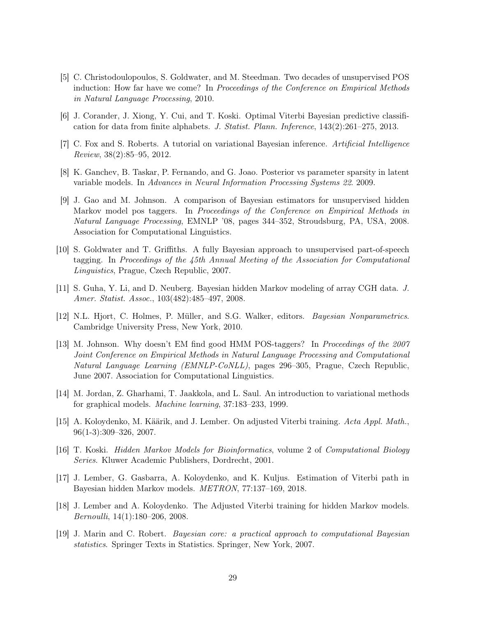- <span id="page-28-5"></span>[5] C. Christodoulopoulos, S. Goldwater, and M. Steedman. Two decades of unsupervised POS induction: How far have we come? In Proceedings of the Conference on Empirical Methods in Natural Language Processing, 2010.
- <span id="page-28-13"></span>[6] J. Corander, J. Xiong, Y. Cui, and T. Koski. Optimal Viterbi Bayesian predictive classification for data from finite alphabets. J. Statist. Plann. Inference, 143(2):261–275, 2013.
- <span id="page-28-8"></span>[7] C. Fox and S. Roberts. A tutorial on variational Bayesian inference. Artificial Intelligence Review, 38(2):85–95, 2012.
- <span id="page-28-3"></span>[8] K. Ganchev, B. Taskar, P. Fernando, and G. Joao. Posterior vs parameter sparsity in latent variable models. In Advances in Neural Information Processing Systems 22. 2009.
- <span id="page-28-4"></span>[9] J. Gao and M. Johnson. A comparison of Bayesian estimators for unsupervised hidden Markov model pos taggers. In Proceedings of the Conference on Empirical Methods in Natural Language Processing, EMNLP '08, pages 344–352, Stroudsburg, PA, USA, 2008. Association for Computational Linguistics.
- <span id="page-28-1"></span>[10] S. Goldwater and T. Griffiths. A fully Bayesian approach to unsupervised part-of-speech tagging. In Proceedings of the 45th Annual Meeting of the Association for Computational Linguistics, Prague, Czech Republic, 2007.
- <span id="page-28-10"></span>[11] S. Guha, Y. Li, and D. Neuberg. Bayesian hidden Markov modeling of array CGH data. J. Amer. Statist. Assoc., 103(482):485–497, 2008.
- <span id="page-28-14"></span>[12] N.L. Hjort, C. Holmes, P. Müller, and S.G. Walker, editors. Bayesian Nonparametrics. Cambridge University Press, New York, 2010.
- <span id="page-28-2"></span>[13] M. Johnson. Why doesn't EM find good HMM POS-taggers? In Proceedings of the 2007 Joint Conference on Empirical Methods in Natural Language Processing and Computational Natural Language Learning (EMNLP-CoNLL), pages 296–305, Prague, Czech Republic, June 2007. Association for Computational Linguistics.
- <span id="page-28-9"></span>[14] M. Jordan, Z. Gharhami, T. Jaakkola, and L. Saul. An introduction to variational methods for graphical models. Machine learning, 37:183–233, 1999.
- <span id="page-28-6"></span>[15] A. Koloydenko, M. Käärik, and J. Lember. On adjusted Viterbi training. Acta Appl. Math., 96(1-3):309–326, 2007.
- <span id="page-28-11"></span>[16] T. Koski. Hidden Markov Models for Bioinformatics, volume 2 of Computational Biology Series. Kluwer Academic Publishers, Dordrecht, 2001.
- <span id="page-28-0"></span>[17] J. Lember, G. Gasbarra, A. Koloydenko, and K. Kuljus. Estimation of Viterbi path in Bayesian hidden Markov models. METRON, 77:137–169, 2018.
- <span id="page-28-7"></span>[18] J. Lember and A. Koloydenko. The Adjusted Viterbi training for hidden Markov models. Bernoulli, 14(1):180–206, 2008.
- <span id="page-28-12"></span>[19] J. Marin and C. Robert. Bayesian core: a practical approach to computational Bayesian statistics. Springer Texts in Statistics. Springer, New York, 2007.